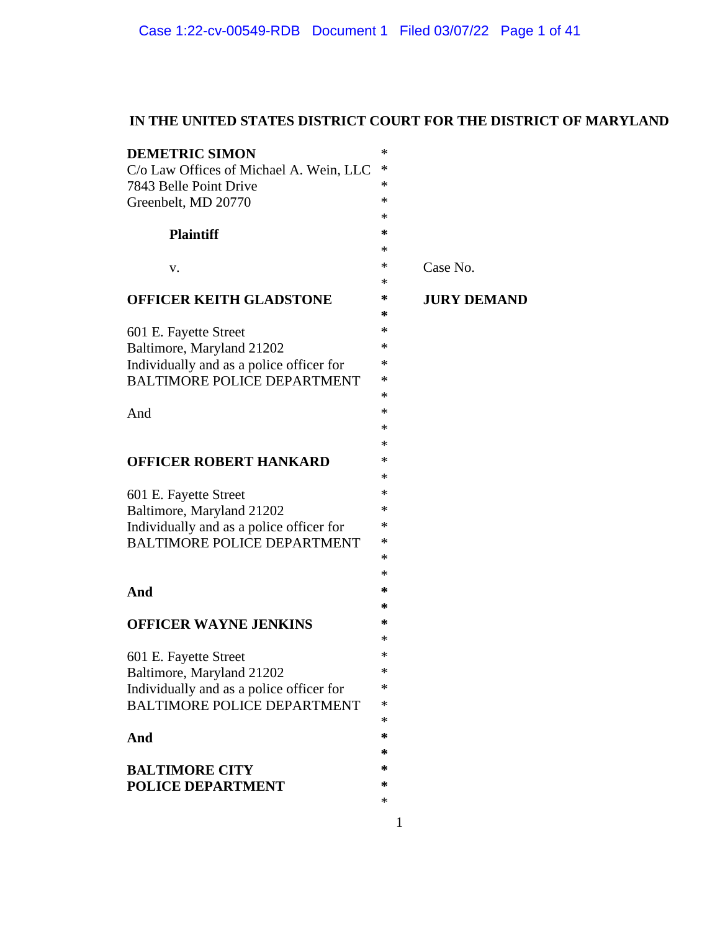# **IN THE UNITED STATES DISTRICT COURT FOR THE DISTRICT OF MARYLAND**

|                    | <b>DEMETRIC SIMON</b><br>ماد<br>C/o Law Offices of Michael A. Wein, LLC *<br>7843 Belle Point Drive<br>Greenbelt, MD 20770              |
|--------------------|-----------------------------------------------------------------------------------------------------------------------------------------|
|                    | <b>Plaintiff</b>                                                                                                                        |
| Case No.           | V.                                                                                                                                      |
| <b>JURY DEMAND</b> | OFFICER KEITH GLADSTONE                                                                                                                 |
|                    | 601 E. Fayette Street<br>Baltimore, Maryland 21202<br>Individually and as a police officer for<br>BALTIMORE POLICE DEPARTMENT<br>And    |
|                    |                                                                                                                                         |
|                    | <b>OFFICER ROBERT HANKARD</b>                                                                                                           |
|                    | 601 E. Fayette Street<br>Baltimore, Maryland 21202<br>Individually and as a police officer for<br>BALTIMORE POLICE DEPARTMENT<br>$\ast$ |
|                    | And                                                                                                                                     |
|                    | <b>OFFICER WAYNE JENKINS</b>                                                                                                            |
|                    | 601 E. Fayette Street<br>Baltimore, Maryland 21202<br>Individually and as a police officer for<br>BALTIMORE POLICE DEPARTMENT<br>∗      |
|                    | And                                                                                                                                     |
|                    | <b>BALTIMORE CITY</b><br>POLICE DEPARTMENT                                                                                              |
|                    |                                                                                                                                         |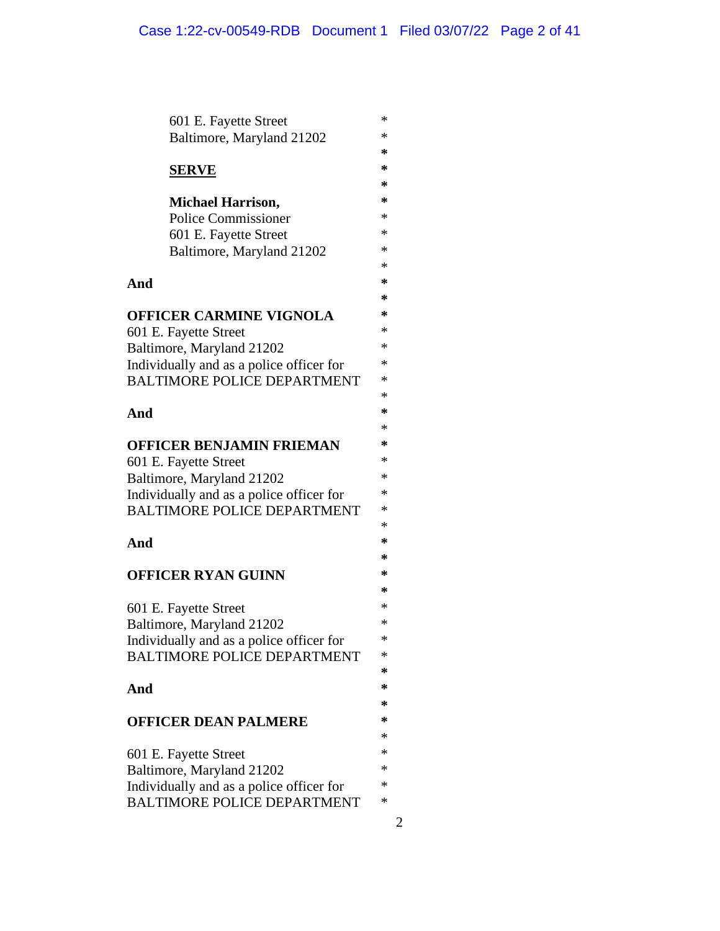|                                          | 601 E. Fayette Street                    | ∗      |
|------------------------------------------|------------------------------------------|--------|
|                                          | Baltimore, Maryland 21202                | *      |
|                                          |                                          | ∗      |
| <b>SERVE</b>                             |                                          | ∗      |
|                                          |                                          | ∗      |
|                                          | <b>Michael Harrison,</b>                 | ∗      |
|                                          | <b>Police Commissioner</b>               | ∗      |
|                                          | 601 E. Fayette Street                    | *      |
|                                          | Baltimore, Maryland 21202                | *      |
|                                          |                                          | *      |
| And                                      |                                          | ∗<br>∗ |
|                                          |                                          | ∗      |
|                                          | OFFICER CARMINE VIGNOLA                  | *      |
| 601 E. Fayette Street                    | Baltimore, Maryland 21202                | ∗      |
|                                          | Individually and as a police officer for | ∗      |
|                                          | <b>BALTIMORE POLICE DEPARTMENT</b>       | ∗      |
|                                          |                                          | *      |
| And                                      |                                          | ∗      |
|                                          |                                          | ∗      |
|                                          | OFFICER BENJAMIN FRIEMAN                 | ∗      |
| 601 E. Fayette Street                    |                                          | ∗      |
| Baltimore, Maryland 21202                |                                          | ∗      |
| Individually and as a police officer for |                                          | ∗      |
|                                          | <b>BALTIMORE POLICE DEPARTMENT</b>       | ∗      |
|                                          |                                          | ∗      |
| And                                      |                                          | ∗      |
|                                          |                                          | ∗      |
|                                          | <b>OFFICER RYAN GUINN</b>                | ∗      |
|                                          |                                          | ∗      |
| 601 E. Fayette Street                    |                                          | *      |
|                                          | Baltimore, Maryland 21202                | ∗      |
|                                          | Individually and as a police officer for | ∗<br>∗ |
|                                          | <b>BALTIMORE POLICE DEPARTMENT</b>       | ∗      |
| And                                      |                                          | ∗      |
|                                          |                                          | ∗      |
|                                          | <b>OFFICER DEAN PALMERE</b>              | ∗      |
|                                          |                                          | *      |
| 601 E. Fayette Street                    |                                          | *      |
|                                          | Baltimore, Maryland 21202                | *      |
|                                          | Individually and as a police officer for | *      |
|                                          | <b>BALTIMORE POLICE DEPARTMENT</b>       | *      |
|                                          |                                          |        |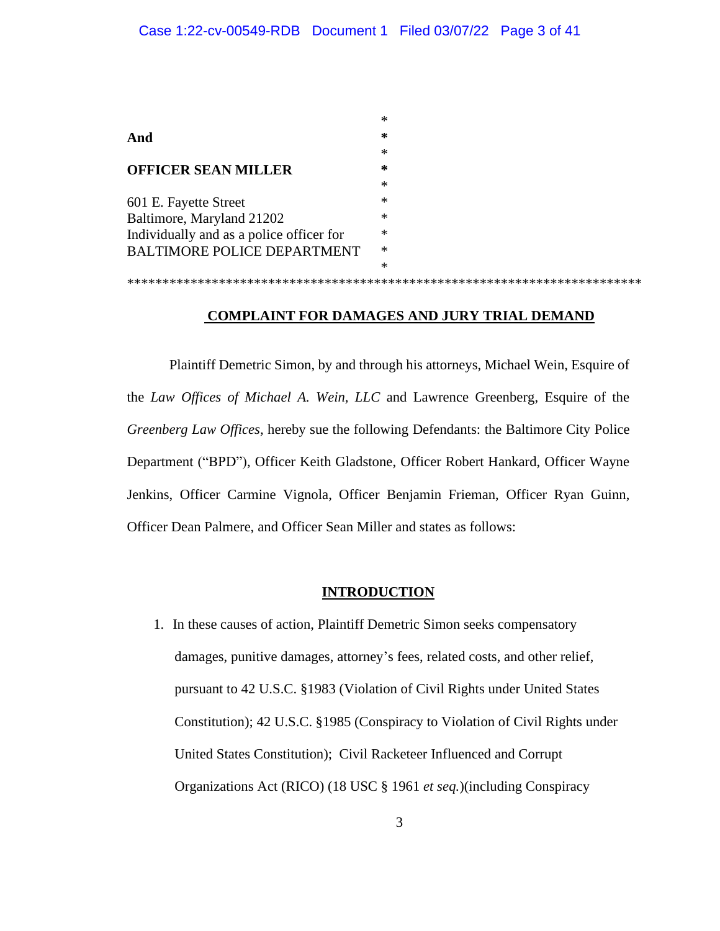| ∗ |
|---|
| ∗ |
| ∗ |
| ∗ |
| ∗ |
| ∗ |
| ∗ |
| ∗ |
| ∗ |
| * |
|   |
|   |

### **COMPLAINT FOR DAMAGES AND JURY TRIAL DEMAND**

Plaintiff Demetric Simon, by and through his attorneys, Michael Wein, Esquire of the *Law Offices of Michael A. Wein, LLC* and Lawrence Greenberg, Esquire of the *Greenberg Law Offices,* hereby sue the following Defendants: the Baltimore City Police Department ("BPD"), Officer Keith Gladstone, Officer Robert Hankard, Officer Wayne Jenkins, Officer Carmine Vignola, Officer Benjamin Frieman, Officer Ryan Guinn, Officer Dean Palmere, and Officer Sean Miller and states as follows:

### **INTRODUCTION**

1. In these causes of action, Plaintiff Demetric Simon seeks compensatory damages, punitive damages, attorney's fees, related costs, and other relief, pursuant to 42 U.S.C. §1983 (Violation of Civil Rights under United States Constitution); 42 U.S.C. §1985 (Conspiracy to Violation of Civil Rights under United States Constitution); Civil Racketeer Influenced and Corrupt Organizations Act (RICO) (18 USC § 1961 *et seq.*)(including Conspiracy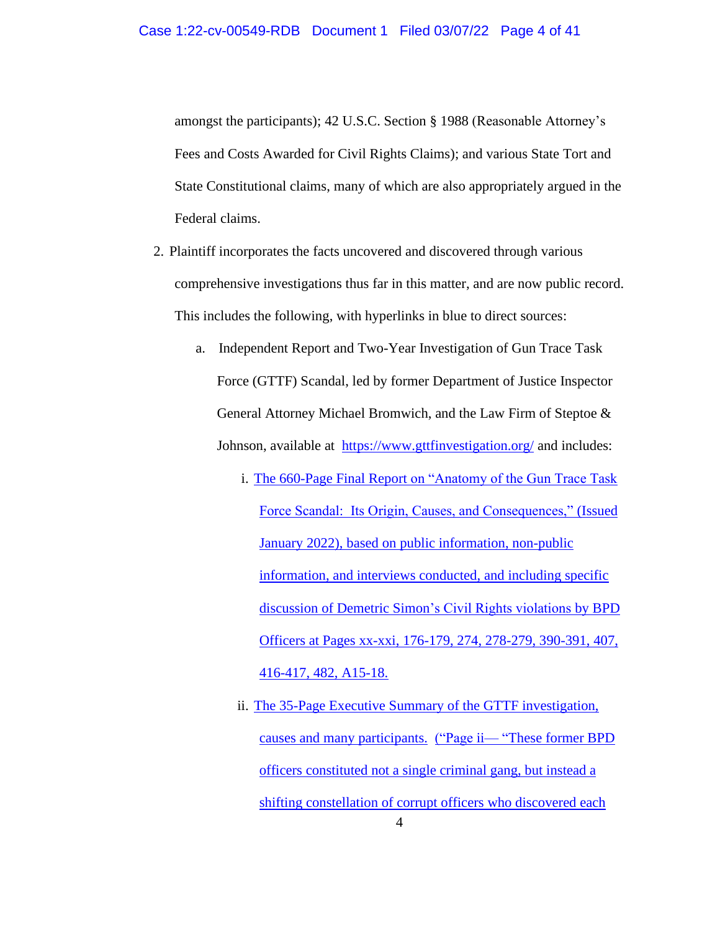amongst the participants); 42 U.S.C. Section § 1988 (Reasonable Attorney's Fees and Costs Awarded for Civil Rights Claims); and various State Tort and State Constitutional claims, many of which are also appropriately argued in the Federal claims.

- 2. Plaintiff incorporates the facts uncovered and discovered through various comprehensive investigations thus far in this matter, and are now public record. This includes the following, with hyperlinks in blue to direct sources:
	- a. Independent Report and Two-Year Investigation of Gun Trace Task Force (GTTF) Scandal, led by former Department of Justice Inspector General Attorney Michael Bromwich, and the Law Firm of Steptoe & Johnson, available at <https://www.gttfinvestigation.org/> and includes:
		- i. The 660-Page Final Report [on "Anatomy of the Gun Trace Task](https://static1.squarespace.com/static/5e25f215b3dbd6661a25b79d/t/61dfb04407c9d81f367972d8/1642049639956/GTTF+Report-c2-c2-c2.pdf)  [Force Scandal: Its Origin, Causes, and Consequences,"](https://static1.squarespace.com/static/5e25f215b3dbd6661a25b79d/t/61dfb04407c9d81f367972d8/1642049639956/GTTF+Report-c2-c2-c2.pdf) (Issued [January 2022\), based on public information, non-public](https://static1.squarespace.com/static/5e25f215b3dbd6661a25b79d/t/61dfb04407c9d81f367972d8/1642049639956/GTTF+Report-c2-c2-c2.pdf)  [information, and](https://static1.squarespace.com/static/5e25f215b3dbd6661a25b79d/t/61dfb04407c9d81f367972d8/1642049639956/GTTF+Report-c2-c2-c2.pdf) interviews conducted, and including specific discussion of Demetric Simon's Civil Rights violations by BPD Officers at Pages xx-xxi, 176-179, 274, 278-279, 390-391, 407, 416-417, 482, A15-18.
		- 4 ii. [The 35-Page Executive Summary of the GTTF investigation,](https://static1.squarespace.com/static/5e25f215b3dbd6661a25b79d/t/61dfb0a510a6fd7443dd5914/1642049707420/GTTF+Report_Executive+Summary-c2-c2-c2.pdf)  [causes and many participants.](https://static1.squarespace.com/static/5e25f215b3dbd6661a25b79d/t/61dfb0a510a6fd7443dd5914/1642049707420/GTTF+Report_Executive+Summary-c2-c2-c2.pdf) ("Page ii— ["These former BPD](https://static1.squarespace.com/static/5e25f215b3dbd6661a25b79d/t/61dfb0a510a6fd7443dd5914/1642049707420/GTTF+Report_Executive+Summary-c2-c2-c2.pdf)  [officers constituted not a single criminal gang, but instead a](https://static1.squarespace.com/static/5e25f215b3dbd6661a25b79d/t/61dfb0a510a6fd7443dd5914/1642049707420/GTTF+Report_Executive+Summary-c2-c2-c2.pdf)  [shifting constellation of corrupt officers who discovered each](https://static1.squarespace.com/static/5e25f215b3dbd6661a25b79d/t/61dfb0a510a6fd7443dd5914/1642049707420/GTTF+Report_Executive+Summary-c2-c2-c2.pdf)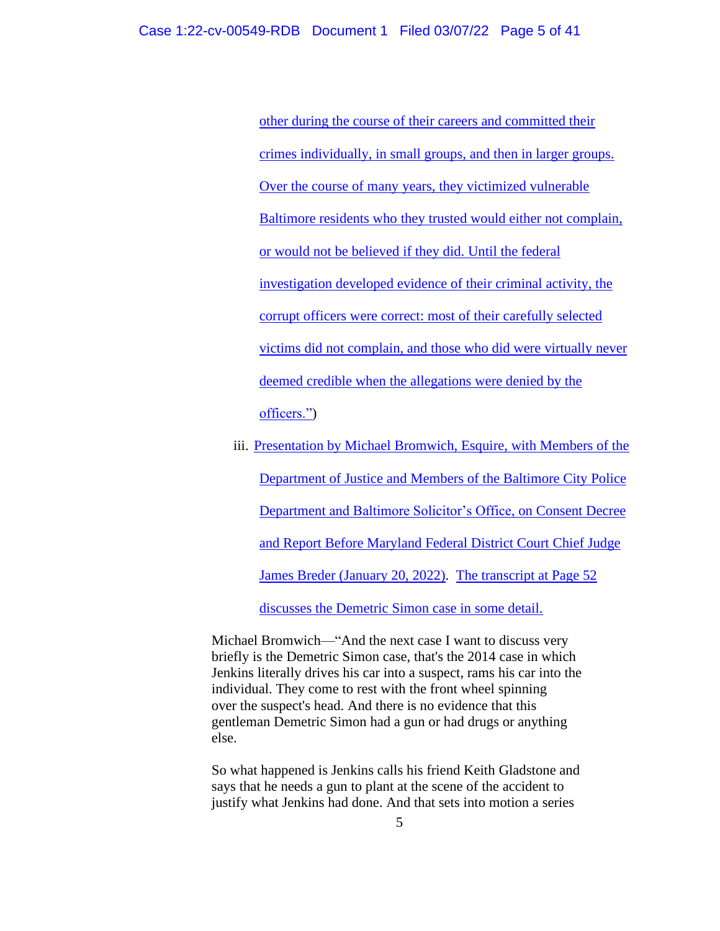[other during the course of their careers and committed their](https://static1.squarespace.com/static/5e25f215b3dbd6661a25b79d/t/61dfb0a510a6fd7443dd5914/1642049707420/GTTF+Report_Executive+Summary-c2-c2-c2.pdf)  [crimes individually, in small groups, and then in larger groups.](https://static1.squarespace.com/static/5e25f215b3dbd6661a25b79d/t/61dfb0a510a6fd7443dd5914/1642049707420/GTTF+Report_Executive+Summary-c2-c2-c2.pdf)  Over the course of many years, they victimized vulnerable [Baltimore residents who they trusted would either not complain,](https://static1.squarespace.com/static/5e25f215b3dbd6661a25b79d/t/61dfb0a510a6fd7443dd5914/1642049707420/GTTF+Report_Executive+Summary-c2-c2-c2.pdf) [or would not be believed if they did. Until the federal](https://static1.squarespace.com/static/5e25f215b3dbd6661a25b79d/t/61dfb0a510a6fd7443dd5914/1642049707420/GTTF+Report_Executive+Summary-c2-c2-c2.pdf)  [investigation developed evidence of their criminal activity, the](https://static1.squarespace.com/static/5e25f215b3dbd6661a25b79d/t/61dfb0a510a6fd7443dd5914/1642049707420/GTTF+Report_Executive+Summary-c2-c2-c2.pdf)  [corrupt officers were correct: most of their carefully selected](https://static1.squarespace.com/static/5e25f215b3dbd6661a25b79d/t/61dfb0a510a6fd7443dd5914/1642049707420/GTTF+Report_Executive+Summary-c2-c2-c2.pdf)  [victims did not complain, and those who did were virtually never](https://static1.squarespace.com/static/5e25f215b3dbd6661a25b79d/t/61dfb0a510a6fd7443dd5914/1642049707420/GTTF+Report_Executive+Summary-c2-c2-c2.pdf)  [deemed credible when the allegations were denied by the](https://static1.squarespace.com/static/5e25f215b3dbd6661a25b79d/t/61dfb0a510a6fd7443dd5914/1642049707420/GTTF+Report_Executive+Summary-c2-c2-c2.pdf)  [officers."\)](https://static1.squarespace.com/static/5e25f215b3dbd6661a25b79d/t/61dfb0a510a6fd7443dd5914/1642049707420/GTTF+Report_Executive+Summary-c2-c2-c2.pdf)

iii. Presentation by Michael Bromwich, Esquire, with Members of the [Department of Justice and Members of the Baltimore City Police](https://static1.squarespace.com/static/5e25f215b3dbd6661a25b79d/t/6216d22cdf2ded226947cd07/1645662765435/2022+JAN+20+BALTO+CITY+DECREE+FINAL-c2-c2-c2+%281%29.pdf)  [Department and Baltimore Solicitor's Office, on Consent Decree](https://static1.squarespace.com/static/5e25f215b3dbd6661a25b79d/t/6216d22cdf2ded226947cd07/1645662765435/2022+JAN+20+BALTO+CITY+DECREE+FINAL-c2-c2-c2+%281%29.pdf)  [and Report Before Maryland](https://static1.squarespace.com/static/5e25f215b3dbd6661a25b79d/t/6216d22cdf2ded226947cd07/1645662765435/2022+JAN+20+BALTO+CITY+DECREE+FINAL-c2-c2-c2+%281%29.pdf) Federal District Court Chief Judge James Breder [\(January 20, 2022\).](https://static1.squarespace.com/static/5e25f215b3dbd6661a25b79d/t/6216d22cdf2ded226947cd07/1645662765435/2022+JAN+20+BALTO+CITY+DECREE+FINAL-c2-c2-c2+%281%29.pdf) [The transcript at Page 52](https://static1.squarespace.com/static/5e25f215b3dbd6661a25b79d/t/6216d22cdf2ded226947cd07/1645662765435/2022+JAN+20+BALTO+CITY+DECREE+FINAL-c2-c2-c2+%281%29.pdf)  [discusses the Demetric Simon case in some detail.](https://static1.squarespace.com/static/5e25f215b3dbd6661a25b79d/t/6216d22cdf2ded226947cd07/1645662765435/2022+JAN+20+BALTO+CITY+DECREE+FINAL-c2-c2-c2+%281%29.pdf)

Michael Bromwich—"And the next case I want to discuss very briefly is the Demetric Simon case, that's the 2014 case in which Jenkins literally drives his car into a suspect, rams his car into the individual. They come to rest with the front wheel spinning over the suspect's head. And there is no evidence that this gentleman Demetric Simon had a gun or had drugs or anything else.

So what happened is Jenkins calls his friend Keith Gladstone and says that he needs a gun to plant at the scene of the accident to justify what Jenkins had done. And that sets into motion a series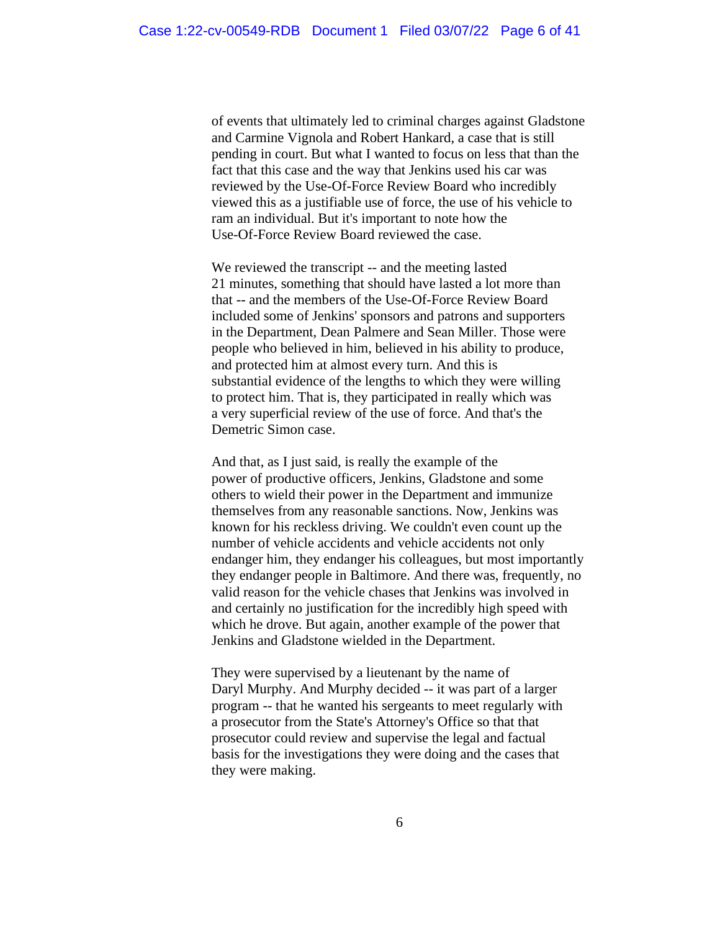of events that ultimately led to criminal charges against Gladstone and Carmine Vignola and Robert Hankard, a case that is still pending in court. But what I wanted to focus on less that than the fact that this case and the way that Jenkins used his car was reviewed by the Use-Of-Force Review Board who incredibly viewed this as a justifiable use of force, the use of his vehicle to ram an individual. But it's important to note how the Use-Of-Force Review Board reviewed the case.

We reviewed the transcript -- and the meeting lasted 21 minutes, something that should have lasted a lot more than that -- and the members of the Use-Of-Force Review Board included some of Jenkins' sponsors and patrons and supporters in the Department, Dean Palmere and Sean Miller. Those were people who believed in him, believed in his ability to produce, and protected him at almost every turn. And this is substantial evidence of the lengths to which they were willing to protect him. That is, they participated in really which was a very superficial review of the use of force. And that's the Demetric Simon case.

And that, as I just said, is really the example of the power of productive officers, Jenkins, Gladstone and some others to wield their power in the Department and immunize themselves from any reasonable sanctions. Now, Jenkins was known for his reckless driving. We couldn't even count up the number of vehicle accidents and vehicle accidents not only endanger him, they endanger his colleagues, but most importantly they endanger people in Baltimore. And there was, frequently, no valid reason for the vehicle chases that Jenkins was involved in and certainly no justification for the incredibly high speed with which he drove. But again, another example of the power that Jenkins and Gladstone wielded in the Department.

They were supervised by a lieutenant by the name of Daryl Murphy. And Murphy decided -- it was part of a larger program -- that he wanted his sergeants to meet regularly with a prosecutor from the State's Attorney's Office so that that prosecutor could review and supervise the legal and factual basis for the investigations they were doing and the cases that they were making.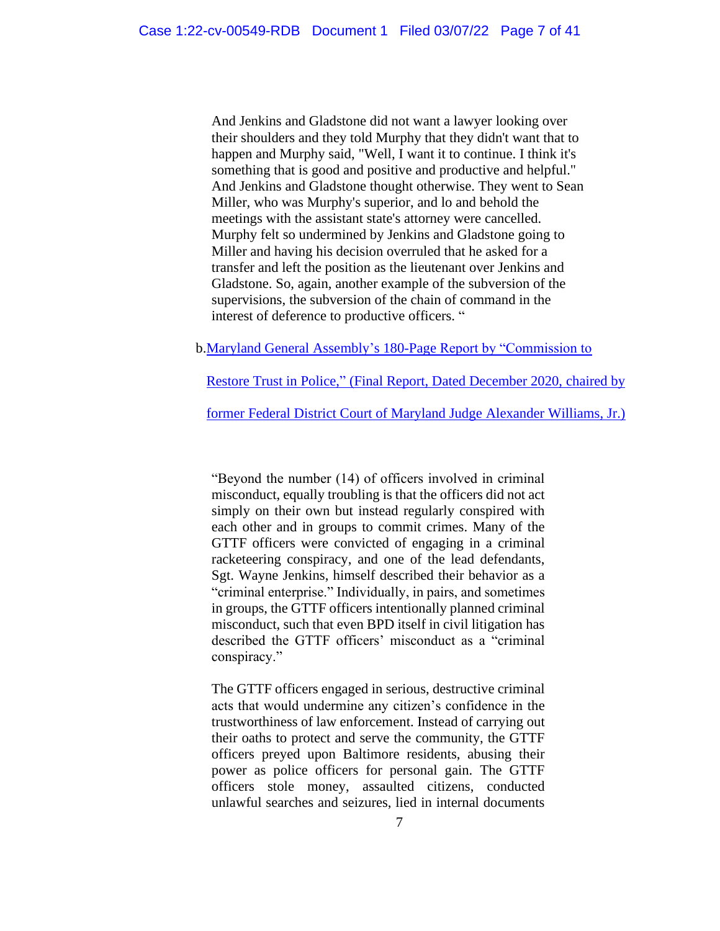And Jenkins and Gladstone did not want a lawyer looking over their shoulders and they told Murphy that they didn't want that to happen and Murphy said, "Well, I want it to continue. I think it's something that is good and positive and productive and helpful." And Jenkins and Gladstone thought otherwise. They went to Sean Miller, who was Murphy's superior, and lo and behold the meetings with the assistant state's attorney were cancelled. Murphy felt so undermined by Jenkins and Gladstone going to Miller and having his decision overruled that he asked for a transfer and left the position as the lieutenant over Jenkins and Gladstone. So, again, another example of the subversion of the supervisions, the subversion of the chain of command in the interest of deference to productive officers. "

b[.Maryland General Assembly's 180-Page](https://dls.maryland.gov/pubs/prod/NoPblTabMtg/CmsnRstrTrustPol/Commission-to-Restore-Trust-in-Policing-Final-Report.pdf) Report by "Commission to

Restore Trust in Police," [\(Final Report, Dated December 2020,](https://dls.maryland.gov/pubs/prod/NoPblTabMtg/CmsnRstrTrustPol/Commission-to-Restore-Trust-in-Policing-Final-Report.pdf) chaired by

former Federal [District Court of Maryland Judge Alexander](https://dls.maryland.gov/pubs/prod/NoPblTabMtg/CmsnRstrTrustPol/Commission-to-Restore-Trust-in-Policing-Final-Report.pdf) Williams, Jr.)

"Beyond the number (14) of officers involved in criminal misconduct, equally troubling is that the officers did not act simply on their own but instead regularly conspired with each other and in groups to commit crimes. Many of the GTTF officers were convicted of engaging in a criminal racketeering conspiracy, and one of the lead defendants, Sgt. Wayne Jenkins, himself described their behavior as a "criminal enterprise." Individually, in pairs, and sometimes in groups, the GTTF officers intentionally planned criminal misconduct, such that even BPD itself in civil litigation has described the GTTF officers' misconduct as a "criminal conspiracy."

The GTTF officers engaged in serious, destructive criminal acts that would undermine any citizen's confidence in the trustworthiness of law enforcement. Instead of carrying out their oaths to protect and serve the community, the GTTF officers preyed upon Baltimore residents, abusing their power as police officers for personal gain. The GTTF officers stole money, assaulted citizens, conducted unlawful searches and seizures, lied in internal documents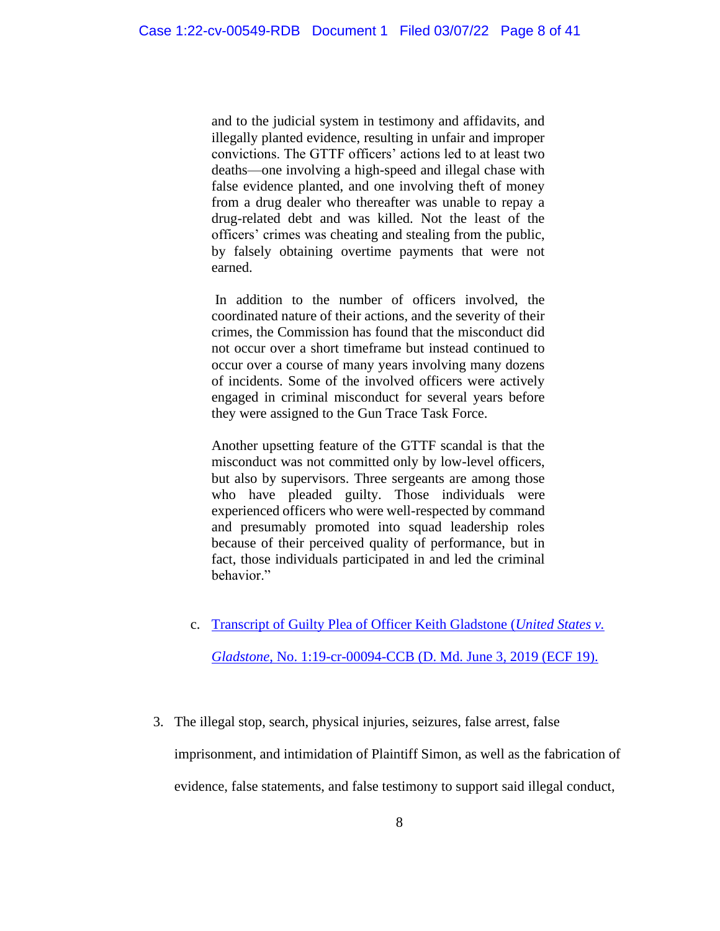and to the judicial system in testimony and affidavits, and illegally planted evidence, resulting in unfair and improper convictions. The GTTF officers' actions led to at least two deaths—one involving a high-speed and illegal chase with false evidence planted, and one involving theft of money from a drug dealer who thereafter was unable to repay a drug-related debt and was killed. Not the least of the officers' crimes was cheating and stealing from the public, by falsely obtaining overtime payments that were not earned.

In addition to the number of officers involved, the coordinated nature of their actions, and the severity of their crimes, the Commission has found that the misconduct did not occur over a short timeframe but instead continued to occur over a course of many years involving many dozens of incidents. Some of the involved officers were actively engaged in criminal misconduct for several years before they were assigned to the Gun Trace Task Force.

Another upsetting feature of the GTTF scandal is that the misconduct was not committed only by low-level officers, but also by supervisors. Three sergeants are among those who have pleaded guilty. Those individuals were experienced officers who were well-respected by command and presumably promoted into squad leadership roles because of their perceived quality of performance, but in fact, those individuals participated in and led the criminal behavior."

- c. [Transcript of Guilty Plea of Officer Keith Gladstone \(](https://static1.squarespace.com/static/5e25f215b3dbd6661a25b79d/t/6160745be8dc51215439ba6f/1633711195595/2019.05.31+-+Gladstone+Plea+Hearing+Transcript-c2.pdf)*United States v. Gladstone*[, No. 1:19-cr-00094-CCB \(D. Md. June 3, 2019 \(ECF 19\).](https://static1.squarespace.com/static/5e25f215b3dbd6661a25b79d/t/6160745be8dc51215439ba6f/1633711195595/2019.05.31+-+Gladstone+Plea+Hearing+Transcript-c2.pdf)
- 3. The illegal stop, search, physical injuries, seizures, false arrest, false imprisonment, and intimidation of Plaintiff Simon, as well as the fabrication of evidence, false statements, and false testimony to support said illegal conduct,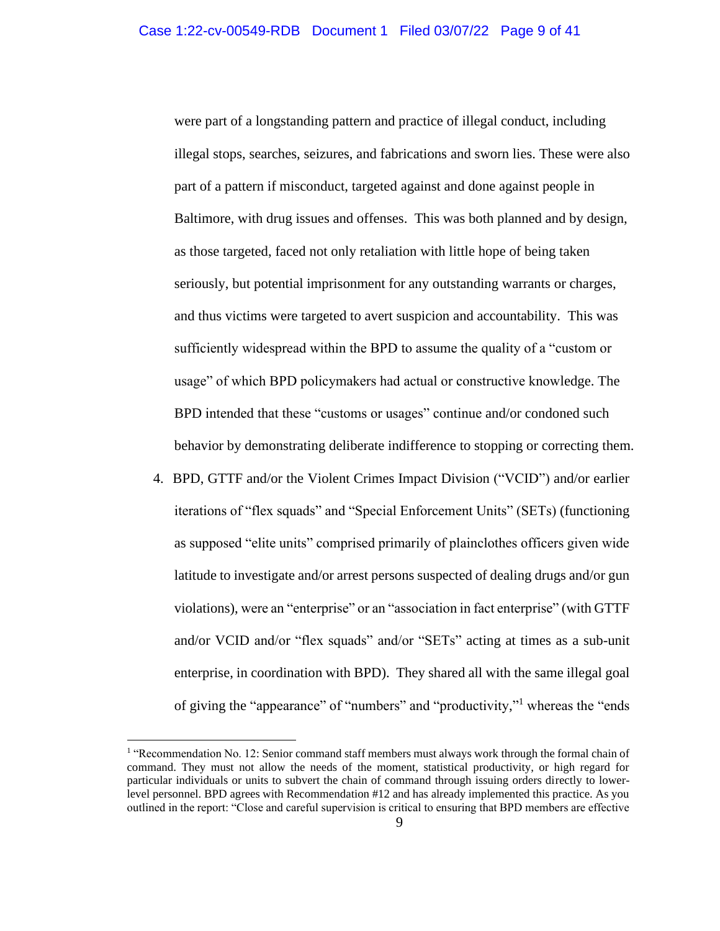were part of a longstanding pattern and practice of illegal conduct, including illegal stops, searches, seizures, and fabrications and sworn lies. These were also part of a pattern if misconduct, targeted against and done against people in Baltimore, with drug issues and offenses. This was both planned and by design, as those targeted, faced not only retaliation with little hope of being taken seriously, but potential imprisonment for any outstanding warrants or charges, and thus victims were targeted to avert suspicion and accountability. This was sufficiently widespread within the BPD to assume the quality of a "custom or usage" of which BPD policymakers had actual or constructive knowledge. The BPD intended that these "customs or usages" continue and/or condoned such behavior by demonstrating deliberate indifference to stopping or correcting them.

4. BPD, GTTF and/or the Violent Crimes Impact Division ("VCID") and/or earlier iterations of "flex squads" and "Special Enforcement Units" (SETs) (functioning as supposed "elite units" comprised primarily of plainclothes officers given wide latitude to investigate and/or arrest persons suspected of dealing drugs and/or gun violations), were an "enterprise" or an "association in fact enterprise" (with GTTF and/or VCID and/or "flex squads" and/or "SETs" acting at times as a sub-unit enterprise, in coordination with BPD). They shared all with the same illegal goal of giving the "appearance" of "numbers" and "productivity," <sup>1</sup> whereas the "ends

<sup>&</sup>lt;sup>1</sup> "Recommendation No. 12: Senior command staff members must always work through the formal chain of command. They must not allow the needs of the moment, statistical productivity, or high regard for particular individuals or units to subvert the chain of command through issuing orders directly to lowerlevel personnel. BPD agrees with Recommendation #12 and has already implemented this practice. As you outlined in the report: "Close and careful supervision is critical to ensuring that BPD members are effective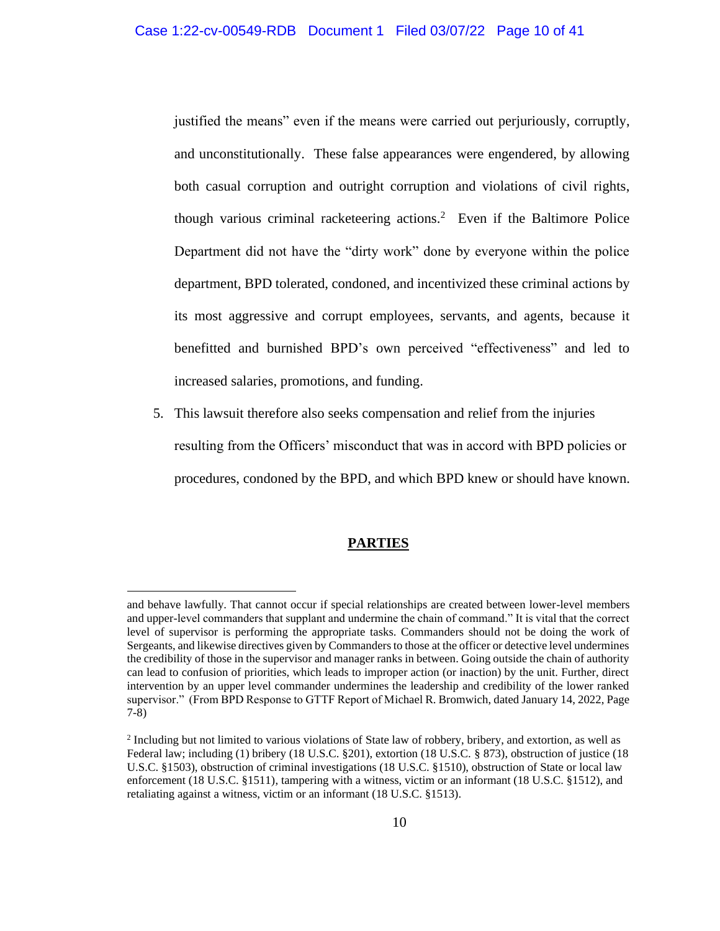justified the means" even if the means were carried out perjuriously, corruptly, and unconstitutionally. These false appearances were engendered, by allowing both casual corruption and outright corruption and violations of civil rights, though various criminal racketeering actions.<sup>2</sup> Even if the Baltimore Police Department did not have the "dirty work" done by everyone within the police department, BPD tolerated, condoned, and incentivized these criminal actions by its most aggressive and corrupt employees, servants, and agents, because it benefitted and burnished BPD's own perceived "effectiveness" and led to increased salaries, promotions, and funding.

5. This lawsuit therefore also seeks compensation and relief from the injuries resulting from the Officers' misconduct that was in accord with BPD policies or procedures, condoned by the BPD, and which BPD knew or should have known.

### **PARTIES**

and behave lawfully. That cannot occur if special relationships are created between lower-level members and upper-level commanders that supplant and undermine the chain of command." It is vital that the correct level of supervisor is performing the appropriate tasks. Commanders should not be doing the work of Sergeants, and likewise directives given by Commanders to those at the officer or detective level undermines the credibility of those in the supervisor and manager ranks in between. Going outside the chain of authority can lead to confusion of priorities, which leads to improper action (or inaction) by the unit. Further, direct intervention by an upper level commander undermines the leadership and credibility of the lower ranked supervisor." (From BPD Response to GTTF Report of Michael R. Bromwich, dated January 14, 2022, Page 7-8)

<sup>&</sup>lt;sup>2</sup> Including but not limited to various violations of State law of robbery, bribery, and extortion, as well as Federal law; including (1) bribery (18 U.S.C. §201), extortion (18 U.S.C. § 873), obstruction of justice (18 U.S.C. §1503), obstruction of criminal investigations (18 U.S.C. §1510), obstruction of State or local law enforcement (18 U.S.C. §1511), tampering with a witness, victim or an informant (18 U.S.C. §1512), and retaliating against a witness, victim or an informant (18 U.S.C. §1513).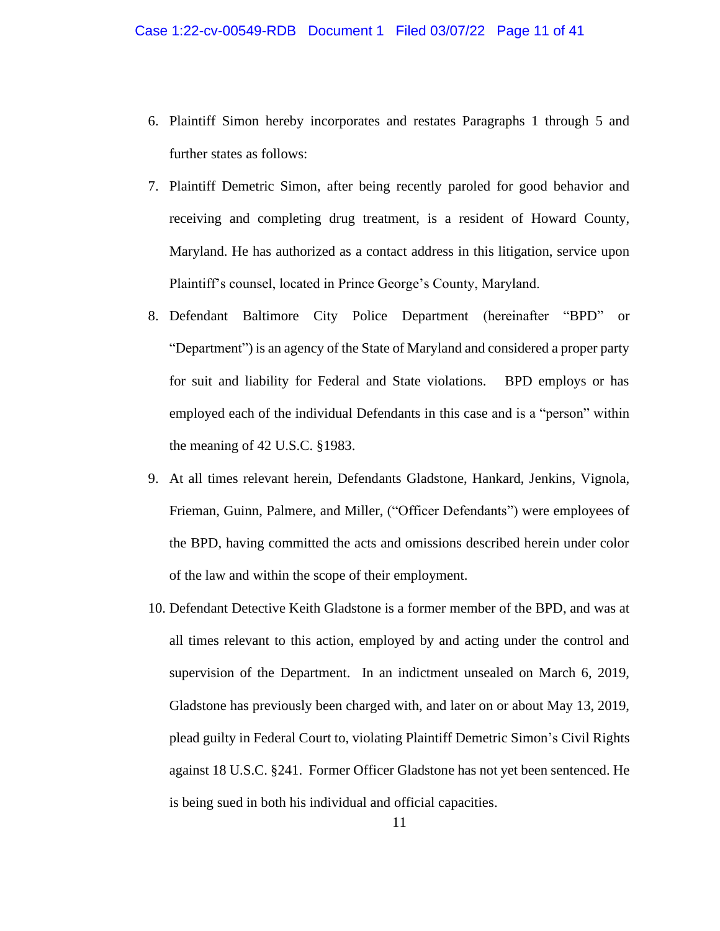- 6. Plaintiff Simon hereby incorporates and restates Paragraphs 1 through 5 and further states as follows:
- 7. Plaintiff Demetric Simon, after being recently paroled for good behavior and receiving and completing drug treatment, is a resident of Howard County, Maryland. He has authorized as a contact address in this litigation, service upon Plaintiff's counsel, located in Prince George's County, Maryland.
- 8. Defendant Baltimore City Police Department (hereinafter "BPD" or "Department") is an agency of the State of Maryland and considered a proper party for suit and liability for Federal and State violations. BPD employs or has employed each of the individual Defendants in this case and is a "person" within the meaning of 42 U.S.C. §1983.
- 9. At all times relevant herein, Defendants Gladstone, Hankard, Jenkins, Vignola, Frieman, Guinn, Palmere, and Miller, ("Officer Defendants") were employees of the BPD, having committed the acts and omissions described herein under color of the law and within the scope of their employment.
- 10. Defendant Detective Keith Gladstone is a former member of the BPD, and was at all times relevant to this action, employed by and acting under the control and supervision of the Department. In an indictment unsealed on March 6, 2019, Gladstone has previously been charged with, and later on or about May 13, 2019, plead guilty in Federal Court to, violating Plaintiff Demetric Simon's Civil Rights against 18 U.S.C. §241. Former Officer Gladstone has not yet been sentenced. He is being sued in both his individual and official capacities.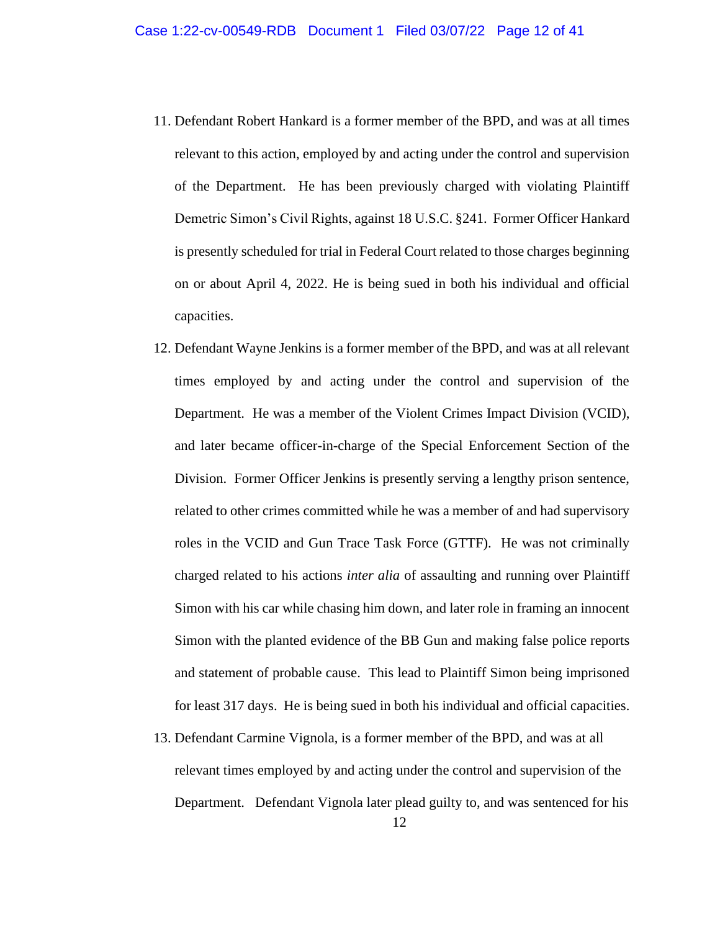- 11. Defendant Robert Hankard is a former member of the BPD, and was at all times relevant to this action, employed by and acting under the control and supervision of the Department. He has been previously charged with violating Plaintiff Demetric Simon's Civil Rights, against 18 U.S.C. §241. Former Officer Hankard is presently scheduled for trial in Federal Court related to those charges beginning on or about April 4, 2022. He is being sued in both his individual and official capacities.
- 12. Defendant Wayne Jenkins is a former member of the BPD, and was at all relevant times employed by and acting under the control and supervision of the Department. He was a member of the Violent Crimes Impact Division (VCID), and later became officer-in-charge of the Special Enforcement Section of the Division. Former Officer Jenkins is presently serving a lengthy prison sentence, related to other crimes committed while he was a member of and had supervisory roles in the VCID and Gun Trace Task Force (GTTF). He was not criminally charged related to his actions *inter alia* of assaulting and running over Plaintiff Simon with his car while chasing him down, and later role in framing an innocent Simon with the planted evidence of the BB Gun and making false police reports and statement of probable cause. This lead to Plaintiff Simon being imprisoned for least 317 days. He is being sued in both his individual and official capacities.
- 13. Defendant Carmine Vignola, is a former member of the BPD, and was at all relevant times employed by and acting under the control and supervision of the Department. Defendant Vignola later plead guilty to, and was sentenced for his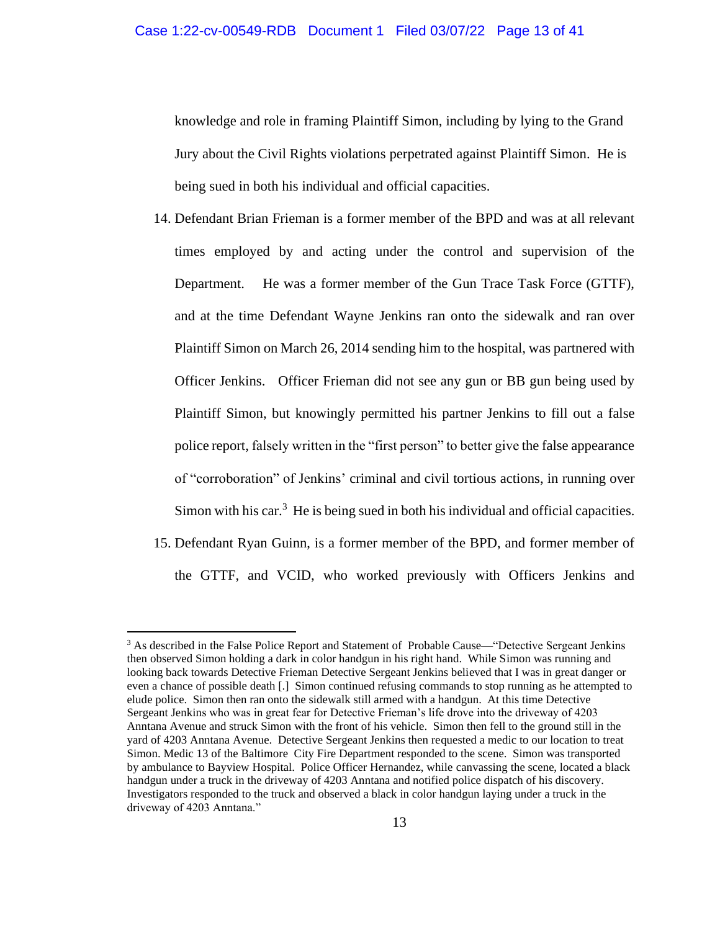knowledge and role in framing Plaintiff Simon, including by lying to the Grand Jury about the Civil Rights violations perpetrated against Plaintiff Simon. He is being sued in both his individual and official capacities.

- 14. Defendant Brian Frieman is a former member of the BPD and was at all relevant times employed by and acting under the control and supervision of the Department. He was a former member of the Gun Trace Task Force (GTTF), and at the time Defendant Wayne Jenkins ran onto the sidewalk and ran over Plaintiff Simon on March 26, 2014 sending him to the hospital, was partnered with Officer Jenkins. Officer Frieman did not see any gun or BB gun being used by Plaintiff Simon, but knowingly permitted his partner Jenkins to fill out a false police report, falsely written in the "first person" to better give the false appearance of "corroboration" of Jenkins' criminal and civil tortious actions, in running over Simon with his car. $3$  He is being sued in both his individual and official capacities.
- 15. Defendant Ryan Guinn, is a former member of the BPD, and former member of the GTTF, and VCID, who worked previously with Officers Jenkins and

<sup>&</sup>lt;sup>3</sup> As described in the False Police Report and Statement of Probable Cause—"Detective Sergeant Jenkins then observed Simon holding a dark in color handgun in his right hand. While Simon was running and looking back towards Detective Frieman Detective Sergeant Jenkins believed that I was in great danger or even a chance of possible death [.] Simon continued refusing commands to stop running as he attempted to elude police. Simon then ran onto the sidewalk still armed with a handgun. At this time Detective Sergeant Jenkins who was in great fear for Detective Frieman's life drove into the driveway of 4203 Anntana Avenue and struck Simon with the front of his vehicle. Simon then fell to the ground still in the yard of 4203 Anntana Avenue. Detective Sergeant Jenkins then requested a medic to our location to treat Simon. Medic 13 of the Baltimore City Fire Department responded to the scene. Simon was transported by ambulance to Bayview Hospital. Police Officer Hernandez, while canvassing the scene, located a black handgun under a truck in the driveway of 4203 Anntana and notified police dispatch of his discovery. Investigators responded to the truck and observed a black in color handgun laying under a truck in the driveway of 4203 Anntana."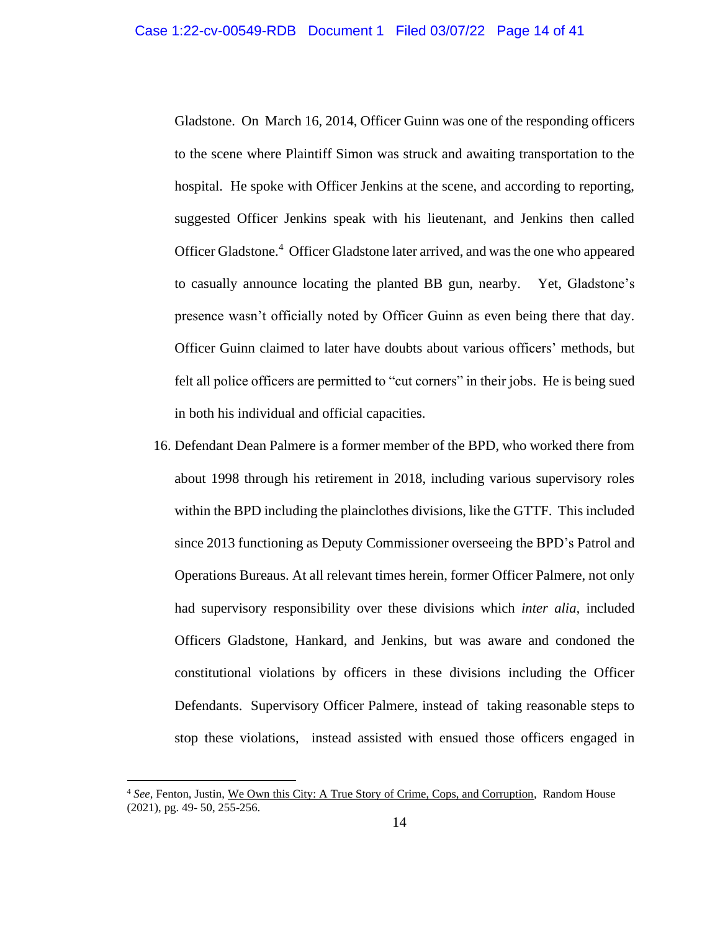Gladstone. On March 16, 2014, Officer Guinn was one of the responding officers to the scene where Plaintiff Simon was struck and awaiting transportation to the hospital. He spoke with Officer Jenkins at the scene, and according to reporting, suggested Officer Jenkins speak with his lieutenant, and Jenkins then called Officer Gladstone.<sup>4</sup> Officer Gladstone later arrived, and was the one who appeared to casually announce locating the planted BB gun, nearby. Yet, Gladstone's presence wasn't officially noted by Officer Guinn as even being there that day. Officer Guinn claimed to later have doubts about various officers' methods, but felt all police officers are permitted to "cut corners" in their jobs. He is being sued in both his individual and official capacities.

16. Defendant Dean Palmere is a former member of the BPD, who worked there from about 1998 through his retirement in 2018, including various supervisory roles within the BPD including the plainclothes divisions, like the GTTF. This included since 2013 functioning as Deputy Commissioner overseeing the BPD's Patrol and Operations Bureaus. At all relevant times herein, former Officer Palmere, not only had supervisory responsibility over these divisions which *inter alia,* included Officers Gladstone, Hankard, and Jenkins, but was aware and condoned the constitutional violations by officers in these divisions including the Officer Defendants. Supervisory Officer Palmere, instead of taking reasonable steps to stop these violations, instead assisted with ensued those officers engaged in

<sup>4</sup> *See,* Fenton, Justin, We Own this City: A True Story of Crime, Cops, and Corruption, Random House (2021), pg. 49- 50, 255-256.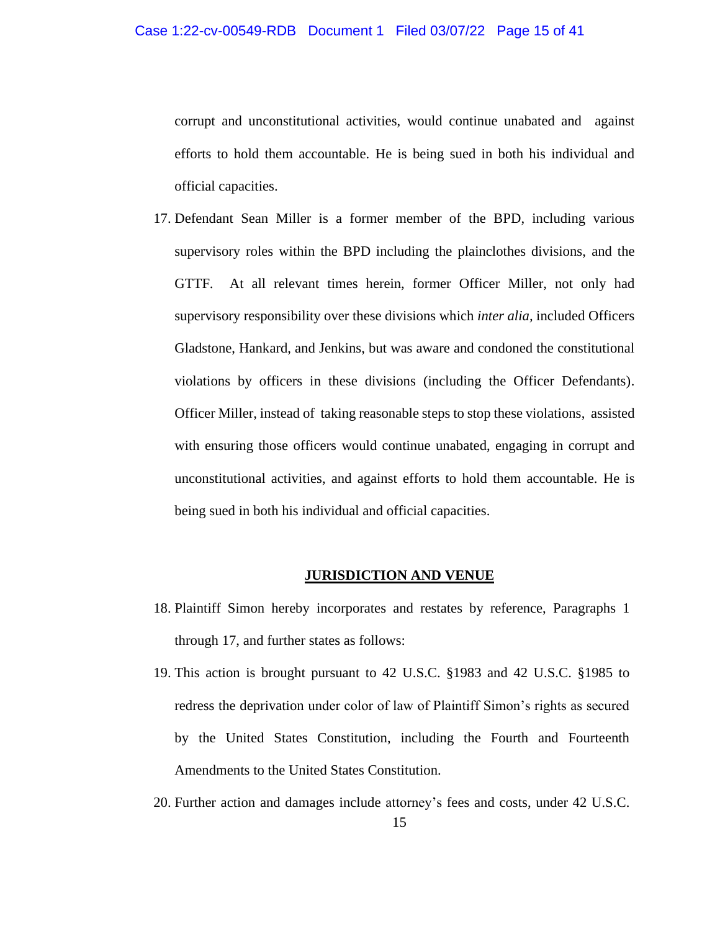corrupt and unconstitutional activities, would continue unabated and against efforts to hold them accountable. He is being sued in both his individual and official capacities.

17. Defendant Sean Miller is a former member of the BPD, including various supervisory roles within the BPD including the plainclothes divisions, and the GTTF. At all relevant times herein, former Officer Miller, not only had supervisory responsibility over these divisions which *inter alia,* included Officers Gladstone, Hankard, and Jenkins, but was aware and condoned the constitutional violations by officers in these divisions (including the Officer Defendants). Officer Miller, instead of taking reasonable steps to stop these violations, assisted with ensuring those officers would continue unabated, engaging in corrupt and unconstitutional activities, and against efforts to hold them accountable. He is being sued in both his individual and official capacities.

### **JURISDICTION AND VENUE**

- 18. Plaintiff Simon hereby incorporates and restates by reference, Paragraphs 1 through 17, and further states as follows:
- 19. This action is brought pursuant to 42 U.S.C. §1983 and 42 U.S.C. §1985 to redress the deprivation under color of law of Plaintiff Simon's rights as secured by the United States Constitution, including the Fourth and Fourteenth Amendments to the United States Constitution.
- 20. Further action and damages include attorney's fees and costs, under 42 U.S.C.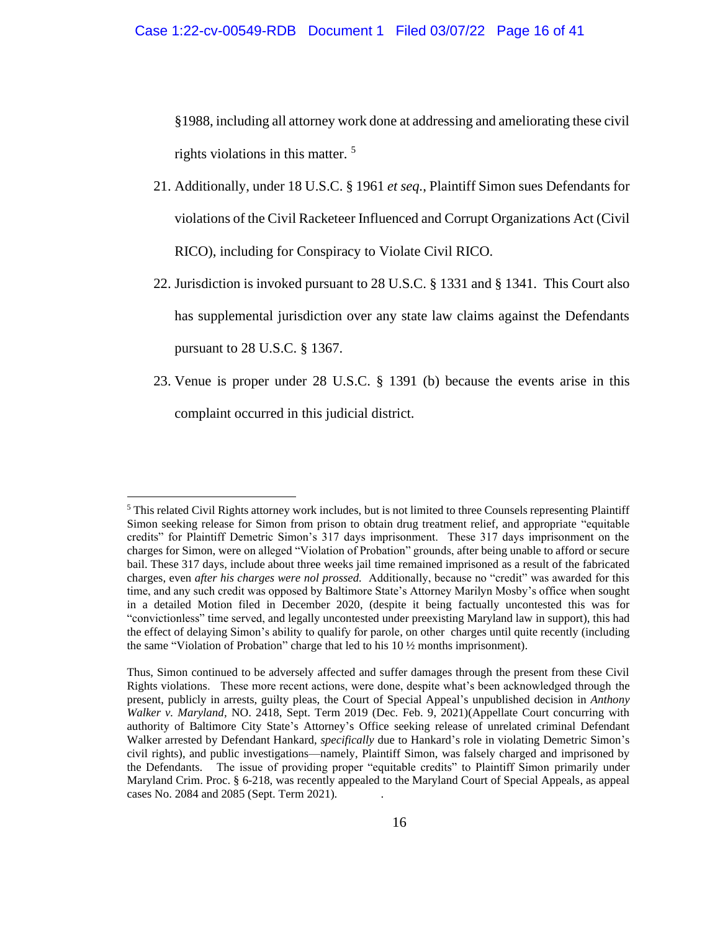§1988, including all attorney work done at addressing and ameliorating these civil rights violations in this matter.  $5$ 

- 21. Additionally, under 18 U.S.C. § 1961 *et seq.*, Plaintiff Simon sues Defendants for violations of the Civil Racketeer Influenced and Corrupt Organizations Act (Civil RICO), including for Conspiracy to Violate Civil RICO.
- 22. Jurisdiction is invoked pursuant to 28 U.S.C. § 1331 and § 1341. This Court also has supplemental jurisdiction over any state law claims against the Defendants pursuant to 28 U.S.C. § 1367.
- 23. Venue is proper under 28 U.S.C. § 1391 (b) because the events arise in this complaint occurred in this judicial district.

<sup>5</sup> This related Civil Rights attorney work includes, but is not limited to three Counsels representing Plaintiff Simon seeking release for Simon from prison to obtain drug treatment relief, and appropriate "equitable credits" for Plaintiff Demetric Simon's 317 days imprisonment. These 317 days imprisonment on the charges for Simon, were on alleged "Violation of Probation" grounds, after being unable to afford or secure bail. These 317 days, include about three weeks jail time remained imprisoned as a result of the fabricated charges, even *after his charges were nol prossed.* Additionally, because no "credit" was awarded for this time, and any such credit was opposed by Baltimore State's Attorney Marilyn Mosby's office when sought in a detailed Motion filed in December 2020, (despite it being factually uncontested this was for "convictionless" time served, and legally uncontested under preexisting Maryland law in support), this had the effect of delaying Simon's ability to qualify for parole, on other charges until quite recently (including the same "Violation of Probation" charge that led to his 10 ½ months imprisonment).

Thus, Simon continued to be adversely affected and suffer damages through the present from these Civil Rights violations. These more recent actions, were done, despite what's been acknowledged through the present, publicly in arrests, guilty pleas, the Court of Special Appeal's unpublished decision in *Anthony Walker v. Maryland,* NO. 2418, Sept. Term 2019 (Dec. Feb. 9, 2021)(Appellate Court concurring with authority of Baltimore City State's Attorney's Office seeking release of unrelated criminal Defendant Walker arrested by Defendant Hankard, *specifically* due to Hankard's role in violating Demetric Simon's civil rights), and public investigations—namely, Plaintiff Simon, was falsely charged and imprisoned by the Defendants. The issue of providing proper "equitable credits" to Plaintiff Simon primarily under Maryland Crim. Proc. § 6-218, was recently appealed to the Maryland Court of Special Appeals, as appeal cases No. 2084 and 2085 (Sept. Term 2021). .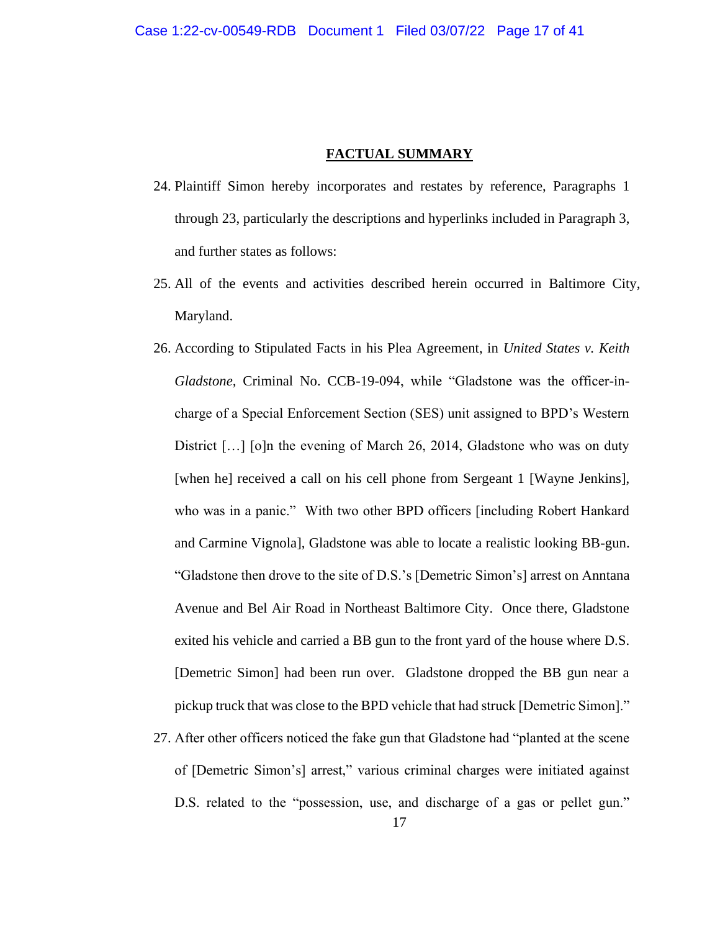#### **FACTUAL SUMMARY**

- 24. Plaintiff Simon hereby incorporates and restates by reference, Paragraphs 1 through 23, particularly the descriptions and hyperlinks included in Paragraph 3, and further states as follows:
- 25. All of the events and activities described herein occurred in Baltimore City, Maryland.
- 26. According to Stipulated Facts in his Plea Agreement, in *United States v. Keith Gladstone,* Criminal No. CCB-19-094, while "Gladstone was the officer-incharge of a Special Enforcement Section (SES) unit assigned to BPD's Western District [...] [o]n the evening of March 26, 2014, Gladstone who was on duty [when he] received a call on his cell phone from Sergeant 1 [Wayne Jenkins], who was in a panic." With two other BPD officers [including Robert Hankard and Carmine Vignola], Gladstone was able to locate a realistic looking BB-gun. "Gladstone then drove to the site of D.S.'s [Demetric Simon's] arrest on Anntana Avenue and Bel Air Road in Northeast Baltimore City. Once there, Gladstone exited his vehicle and carried a BB gun to the front yard of the house where D.S. [Demetric Simon] had been run over. Gladstone dropped the BB gun near a pickup truck that was close to the BPD vehicle that had struck [Demetric Simon]."
- 27. After other officers noticed the fake gun that Gladstone had "planted at the scene of [Demetric Simon's] arrest," various criminal charges were initiated against D.S. related to the "possession, use, and discharge of a gas or pellet gun."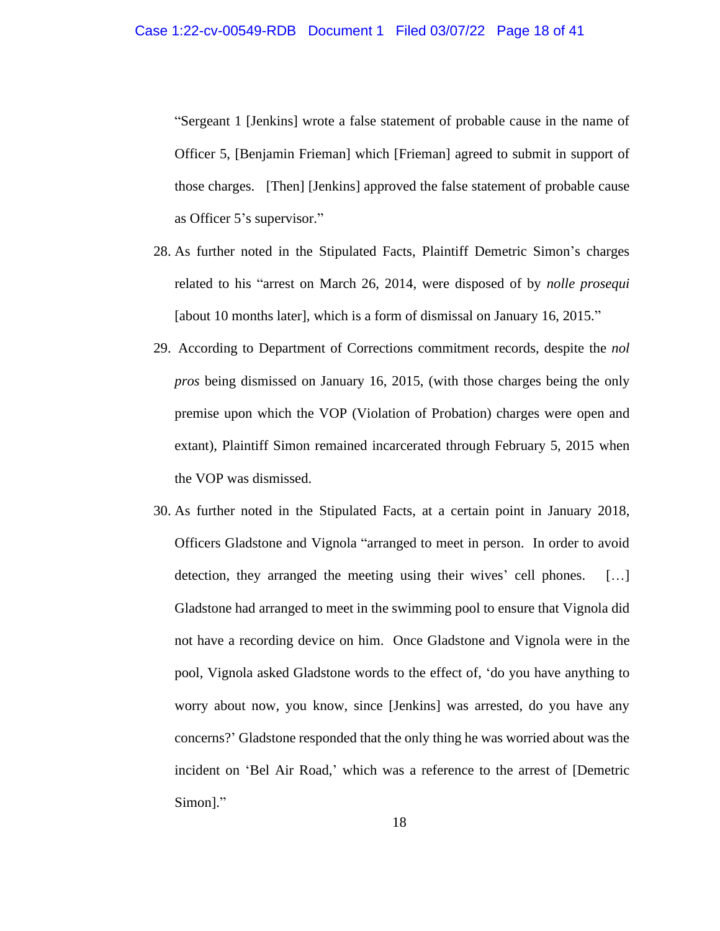"Sergeant 1 [Jenkins] wrote a false statement of probable cause in the name of Officer 5, [Benjamin Frieman] which [Frieman] agreed to submit in support of those charges. [Then] [Jenkins] approved the false statement of probable cause as Officer 5's supervisor."

- 28. As further noted in the Stipulated Facts, Plaintiff Demetric Simon's charges related to his "arrest on March 26, 2014, were disposed of by *nolle prosequi* [about 10 months later]*,* which is a form of dismissal on January 16, 2015."
- 29. According to Department of Corrections commitment records, despite the *nol pros* being dismissed on January 16, 2015, (with those charges being the only premise upon which the VOP (Violation of Probation) charges were open and extant), Plaintiff Simon remained incarcerated through February 5, 2015 when the VOP was dismissed.
- 30. As further noted in the Stipulated Facts, at a certain point in January 2018, Officers Gladstone and Vignola "arranged to meet in person. In order to avoid detection, they arranged the meeting using their wives' cell phones. […] Gladstone had arranged to meet in the swimming pool to ensure that Vignola did not have a recording device on him. Once Gladstone and Vignola were in the pool, Vignola asked Gladstone words to the effect of, 'do you have anything to worry about now, you know, since [Jenkins] was arrested, do you have any concerns?' Gladstone responded that the only thing he was worried about was the incident on 'Bel Air Road,' which was a reference to the arrest of [Demetric Simon]."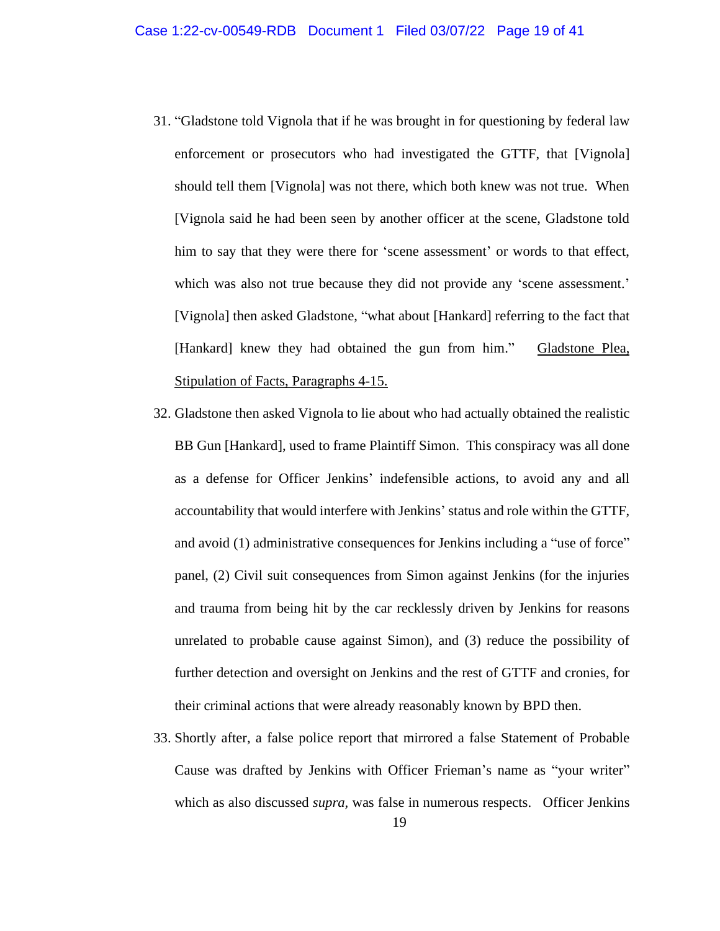- 31. "Gladstone told Vignola that if he was brought in for questioning by federal law enforcement or prosecutors who had investigated the GTTF, that [Vignola] should tell them [Vignola] was not there, which both knew was not true. When [Vignola said he had been seen by another officer at the scene, Gladstone told him to say that they were there for 'scene assessment' or words to that effect, which was also not true because they did not provide any 'scene assessment.' [Vignola] then asked Gladstone, "what about [Hankard] referring to the fact that [Hankard] knew they had obtained the gun from him." Gladstone Plea, Stipulation of Facts, Paragraphs 4-15.
- 32. Gladstone then asked Vignola to lie about who had actually obtained the realistic BB Gun [Hankard], used to frame Plaintiff Simon. This conspiracy was all done as a defense for Officer Jenkins' indefensible actions, to avoid any and all accountability that would interfere with Jenkins' status and role within the GTTF, and avoid (1) administrative consequences for Jenkins including a "use of force" panel, (2) Civil suit consequences from Simon against Jenkins (for the injuries and trauma from being hit by the car recklessly driven by Jenkins for reasons unrelated to probable cause against Simon), and (3) reduce the possibility of further detection and oversight on Jenkins and the rest of GTTF and cronies, for their criminal actions that were already reasonably known by BPD then.
- 33. Shortly after, a false police report that mirrored a false Statement of Probable Cause was drafted by Jenkins with Officer Frieman's name as "your writer" which as also discussed *supra,* was false in numerous respects. Officer Jenkins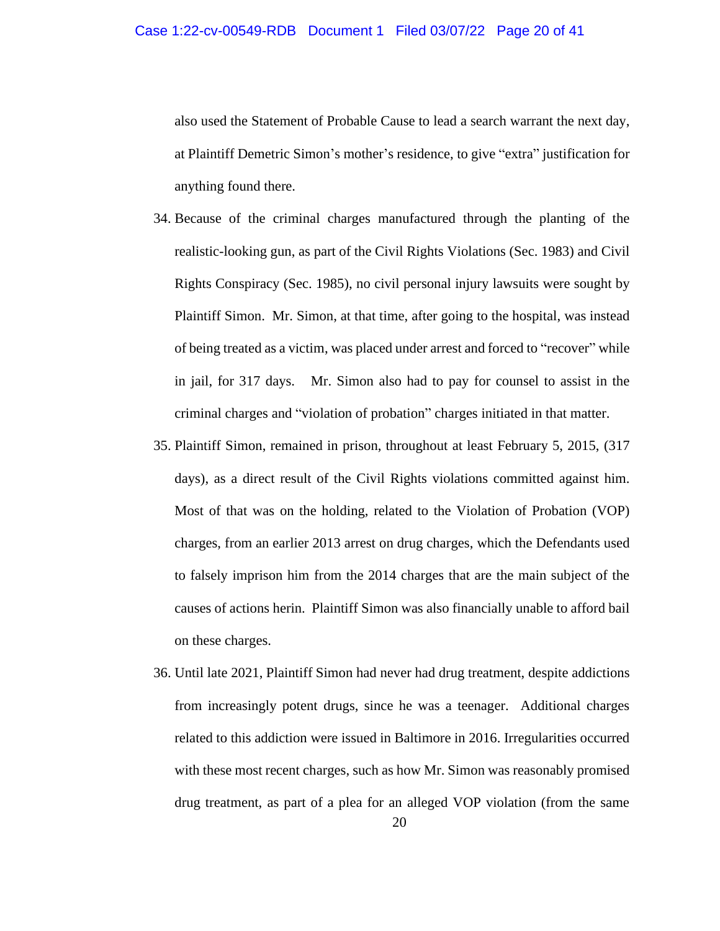also used the Statement of Probable Cause to lead a search warrant the next day, at Plaintiff Demetric Simon's mother's residence, to give "extra" justification for anything found there.

- 34. Because of the criminal charges manufactured through the planting of the realistic-looking gun, as part of the Civil Rights Violations (Sec. 1983) and Civil Rights Conspiracy (Sec. 1985), no civil personal injury lawsuits were sought by Plaintiff Simon. Mr. Simon, at that time, after going to the hospital, was instead of being treated as a victim, was placed under arrest and forced to "recover" while in jail, for 317 days. Mr. Simon also had to pay for counsel to assist in the criminal charges and "violation of probation" charges initiated in that matter.
- 35. Plaintiff Simon, remained in prison, throughout at least February 5, 2015, (317 days), as a direct result of the Civil Rights violations committed against him. Most of that was on the holding, related to the Violation of Probation (VOP) charges, from an earlier 2013 arrest on drug charges, which the Defendants used to falsely imprison him from the 2014 charges that are the main subject of the causes of actions herin. Plaintiff Simon was also financially unable to afford bail on these charges.
- 36. Until late 2021, Plaintiff Simon had never had drug treatment, despite addictions from increasingly potent drugs, since he was a teenager. Additional charges related to this addiction were issued in Baltimore in 2016. Irregularities occurred with these most recent charges, such as how Mr. Simon was reasonably promised drug treatment, as part of a plea for an alleged VOP violation (from the same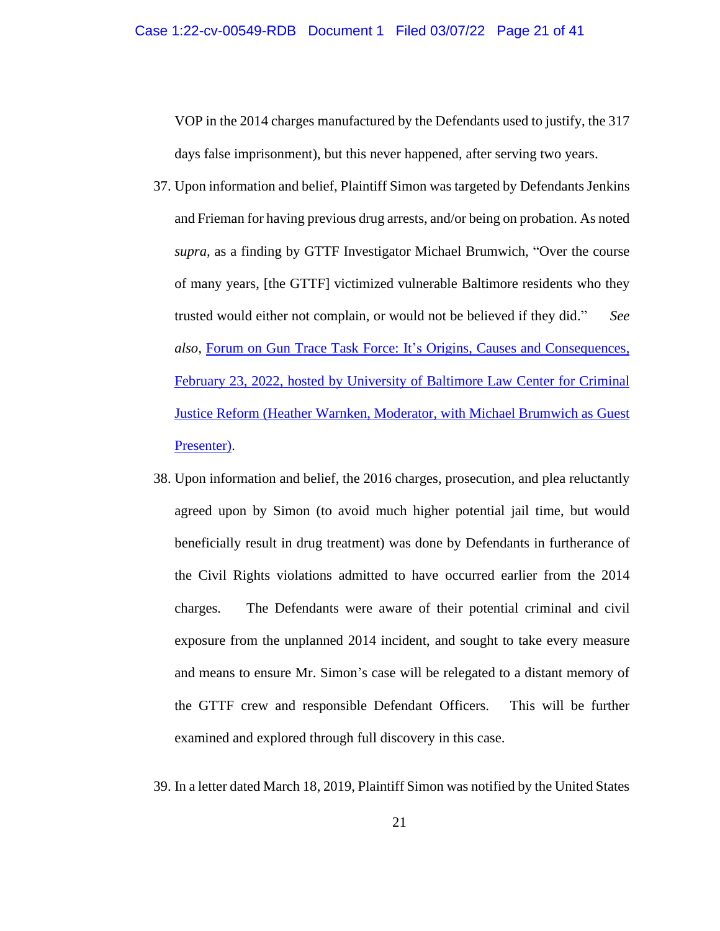VOP in the 2014 charges manufactured by the Defendants used to justify, the 317 days false imprisonment), but this never happened, after serving two years.

- 37. Upon information and belief, Plaintiff Simon was targeted by Defendants Jenkins and Frieman for having previous drug arrests, and/or being on probation. As noted *supra,* as a finding by GTTF Investigator Michael Brumwich, "Over the course of many years, [the GTTF] victimized vulnerable Baltimore residents who they trusted would either not complain, or would not be believed if they did." *See also,* Forum on Gun Trace Task Force: [It's Origins, Causes and Consequences,](https://www.youtube.com/watch?v=dNrWwN4UcUs&list=WL&index=96&t=349s)  February 23, 2022, hosted [by University of Baltimore Law Center for Criminal](https://www.youtube.com/watch?v=dNrWwN4UcUs&list=WL&index=96&t=349s)  [Justice Reform \(Heather Warnken, Moderator, with Michael Brumwich as Guest](https://www.youtube.com/watch?v=dNrWwN4UcUs&list=WL&index=96&t=349s)  [Presenter\).](https://www.youtube.com/watch?v=dNrWwN4UcUs&list=WL&index=96&t=349s)
- 38. Upon information and belief, the 2016 charges, prosecution, and plea reluctantly agreed upon by Simon (to avoid much higher potential jail time, but would beneficially result in drug treatment) was done by Defendants in furtherance of the Civil Rights violations admitted to have occurred earlier from the 2014 charges. The Defendants were aware of their potential criminal and civil exposure from the unplanned 2014 incident, and sought to take every measure and means to ensure Mr. Simon's case will be relegated to a distant memory of the GTTF crew and responsible Defendant Officers. This will be further examined and explored through full discovery in this case.
- 39. In a letter dated March 18, 2019, Plaintiff Simon was notified by the United States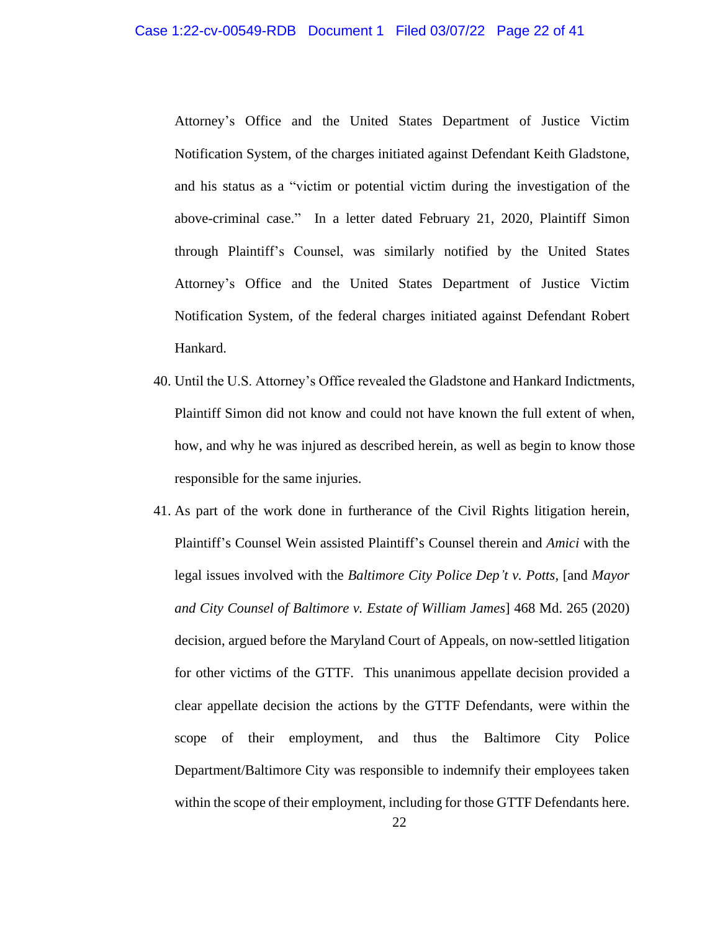Attorney's Office and the United States Department of Justice Victim Notification System, of the charges initiated against Defendant Keith Gladstone, and his status as a "victim or potential victim during the investigation of the above-criminal case." In a letter dated February 21, 2020, Plaintiff Simon through Plaintiff's Counsel, was similarly notified by the United States Attorney's Office and the United States Department of Justice Victim Notification System, of the federal charges initiated against Defendant Robert Hankard.

- 40. Until the U.S. Attorney's Office revealed the Gladstone and Hankard Indictments, Plaintiff Simon did not know and could not have known the full extent of when, how, and why he was injured as described herein, as well as begin to know those responsible for the same injuries.
- 41. As part of the work done in furtherance of the Civil Rights litigation herein, Plaintiff's Counsel Wein assisted Plaintiff's Counsel therein and *Amici* with the legal issues involved with the *Baltimore City Police Dep't v. Potts,* [and *Mayor and City Counsel of Baltimore v. Estate of William James*] 468 Md. 265 (2020) decision, argued before the Maryland Court of Appeals, on now-settled litigation for other victims of the GTTF. This unanimous appellate decision provided a clear appellate decision the actions by the GTTF Defendants, were within the scope of their employment, and thus the Baltimore City Police Department/Baltimore City was responsible to indemnify their employees taken within the scope of their employment, including for those GTTF Defendants here.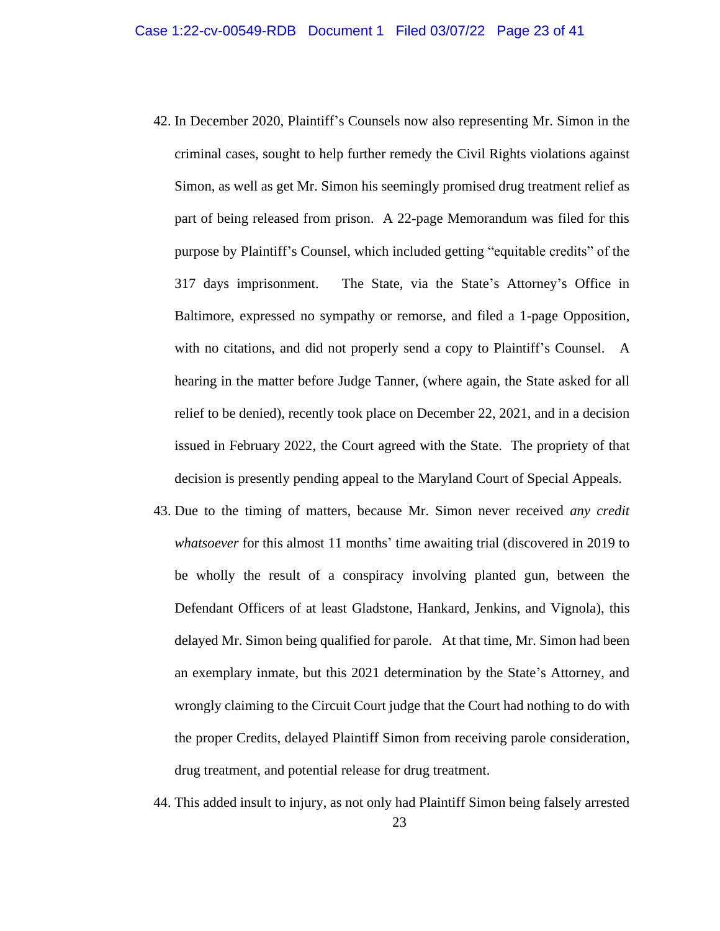- 42. In December 2020, Plaintiff's Counsels now also representing Mr. Simon in the criminal cases, sought to help further remedy the Civil Rights violations against Simon, as well as get Mr. Simon his seemingly promised drug treatment relief as part of being released from prison. A 22-page Memorandum was filed for this purpose by Plaintiff's Counsel, which included getting "equitable credits" of the 317 days imprisonment. The State, via the State's Attorney's Office in Baltimore, expressed no sympathy or remorse, and filed a 1-page Opposition, with no citations, and did not properly send a copy to Plaintiff's Counsel. A hearing in the matter before Judge Tanner, (where again, the State asked for all relief to be denied), recently took place on December 22, 2021, and in a decision issued in February 2022, the Court agreed with the State. The propriety of that decision is presently pending appeal to the Maryland Court of Special Appeals.
- 43. Due to the timing of matters, because Mr. Simon never received *any credit whatsoever* for this almost 11 months' time awaiting trial (discovered in 2019 to be wholly the result of a conspiracy involving planted gun, between the Defendant Officers of at least Gladstone, Hankard, Jenkins, and Vignola), this delayed Mr. Simon being qualified for parole. At that time, Mr. Simon had been an exemplary inmate, but this 2021 determination by the State's Attorney, and wrongly claiming to the Circuit Court judge that the Court had nothing to do with the proper Credits, delayed Plaintiff Simon from receiving parole consideration, drug treatment, and potential release for drug treatment.
- 23 44. This added insult to injury, as not only had Plaintiff Simon being falsely arrested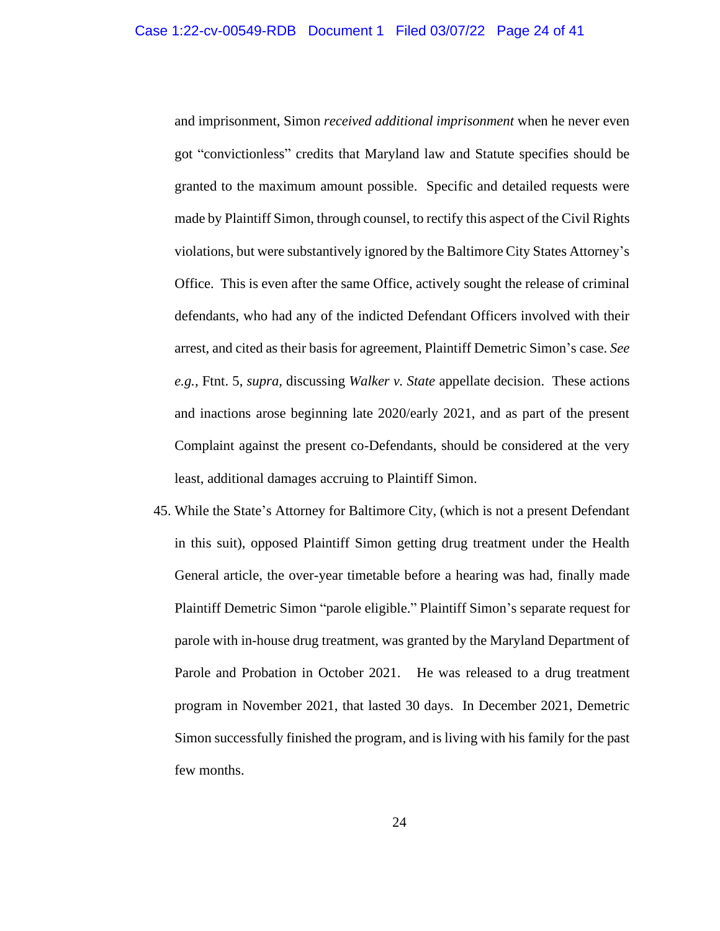and imprisonment, Simon *received additional imprisonment* when he never even got "convictionless" credits that Maryland law and Statute specifies should be granted to the maximum amount possible. Specific and detailed requests were made by Plaintiff Simon, through counsel, to rectify this aspect of the Civil Rights violations, but were substantively ignored by the Baltimore City States Attorney's Office. This is even after the same Office, actively sought the release of criminal defendants, who had any of the indicted Defendant Officers involved with their arrest, and cited as their basis for agreement, Plaintiff Demetric Simon's case. *See e.g.,* Ftnt. 5, *supra,* discussing *Walker v. State* appellate decision. These actions and inactions arose beginning late 2020/early 2021, and as part of the present Complaint against the present co-Defendants, should be considered at the very least, additional damages accruing to Plaintiff Simon.

45. While the State's Attorney for Baltimore City, (which is not a present Defendant in this suit), opposed Plaintiff Simon getting drug treatment under the Health General article, the over-year timetable before a hearing was had, finally made Plaintiff Demetric Simon "parole eligible." Plaintiff Simon's separate request for parole with in-house drug treatment, was granted by the Maryland Department of Parole and Probation in October 2021. He was released to a drug treatment program in November 2021, that lasted 30 days. In December 2021, Demetric Simon successfully finished the program, and is living with his family for the past few months.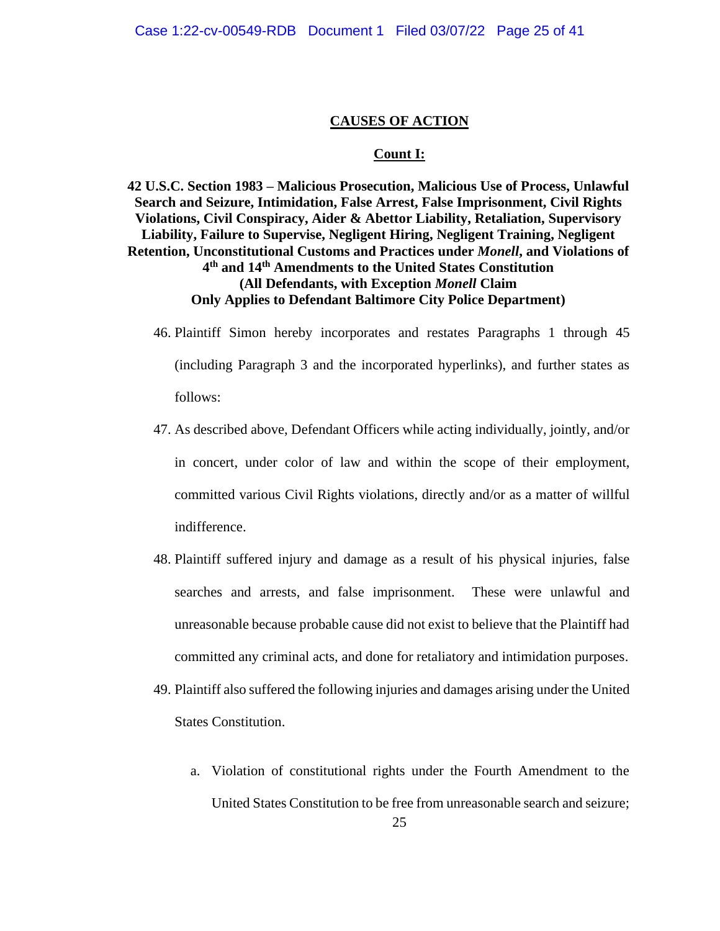#### **CAUSES OF ACTION**

### **Count I:**

**42 U.S.C. Section 1983 – Malicious Prosecution, Malicious Use of Process, Unlawful Search and Seizure, Intimidation, False Arrest, False Imprisonment, Civil Rights Violations, Civil Conspiracy, Aider & Abettor Liability, Retaliation, Supervisory Liability, Failure to Supervise, Negligent Hiring, Negligent Training, Negligent Retention, Unconstitutional Customs and Practices under** *Monell***, and Violations of 4 th and 14th Amendments to the United States Constitution (All Defendants, with Exception** *Monell* **Claim Only Applies to Defendant Baltimore City Police Department)**

- 46. Plaintiff Simon hereby incorporates and restates Paragraphs 1 through 45 (including Paragraph 3 and the incorporated hyperlinks), and further states as follows:
- 47. As described above, Defendant Officers while acting individually, jointly, and/or in concert, under color of law and within the scope of their employment, committed various Civil Rights violations, directly and/or as a matter of willful indifference.
- 48. Plaintiff suffered injury and damage as a result of his physical injuries, false searches and arrests, and false imprisonment. These were unlawful and unreasonable because probable cause did not exist to believe that the Plaintiff had committed any criminal acts, and done for retaliatory and intimidation purposes.
- 49. Plaintiff also suffered the following injuries and damages arising under the United States Constitution.
	- 25 a. Violation of constitutional rights under the Fourth Amendment to the United States Constitution to be free from unreasonable search and seizure;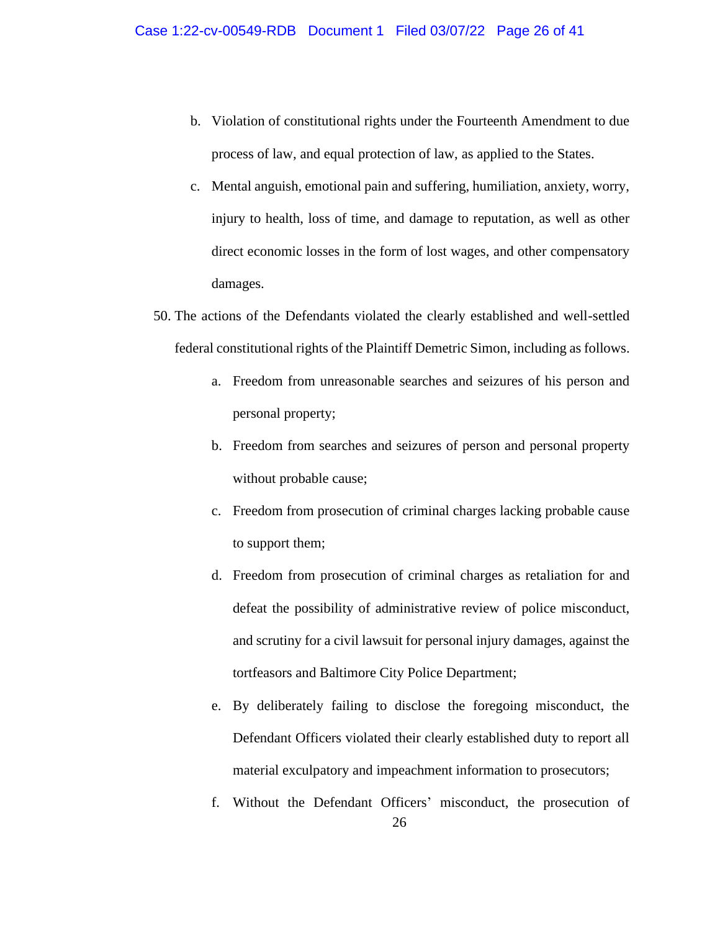- b. Violation of constitutional rights under the Fourteenth Amendment to due process of law, and equal protection of law, as applied to the States.
- c. Mental anguish, emotional pain and suffering, humiliation, anxiety, worry, injury to health, loss of time, and damage to reputation, as well as other direct economic losses in the form of lost wages, and other compensatory damages.
- 50. The actions of the Defendants violated the clearly established and well-settled federal constitutional rights of the Plaintiff Demetric Simon, including as follows.
	- a. Freedom from unreasonable searches and seizures of his person and personal property;
	- b. Freedom from searches and seizures of person and personal property without probable cause;
	- c. Freedom from prosecution of criminal charges lacking probable cause to support them;
	- d. Freedom from prosecution of criminal charges as retaliation for and defeat the possibility of administrative review of police misconduct, and scrutiny for a civil lawsuit for personal injury damages, against the tortfeasors and Baltimore City Police Department;
	- e. By deliberately failing to disclose the foregoing misconduct, the Defendant Officers violated their clearly established duty to report all material exculpatory and impeachment information to prosecutors;
	- 26 f. Without the Defendant Officers' misconduct, the prosecution of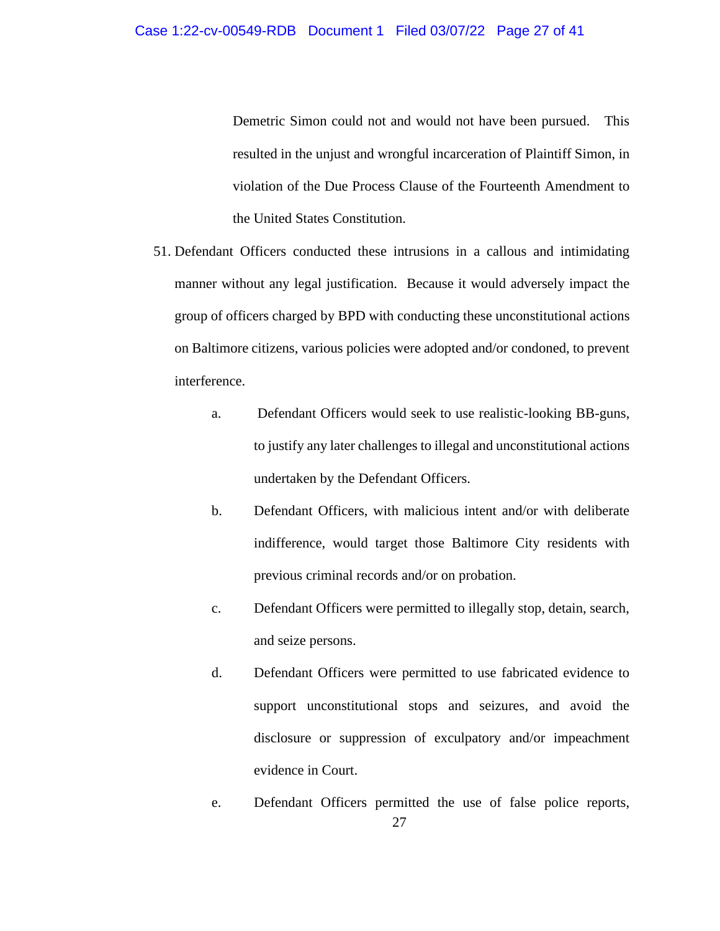Demetric Simon could not and would not have been pursued. This resulted in the unjust and wrongful incarceration of Plaintiff Simon, in violation of the Due Process Clause of the Fourteenth Amendment to the United States Constitution.

- 51. Defendant Officers conducted these intrusions in a callous and intimidating manner without any legal justification. Because it would adversely impact the group of officers charged by BPD with conducting these unconstitutional actions on Baltimore citizens, various policies were adopted and/or condoned, to prevent interference.
	- a. Defendant Officers would seek to use realistic-looking BB-guns, to justify any later challenges to illegal and unconstitutional actions undertaken by the Defendant Officers.
	- b. Defendant Officers, with malicious intent and/or with deliberate indifference, would target those Baltimore City residents with previous criminal records and/or on probation.
	- c. Defendant Officers were permitted to illegally stop, detain, search, and seize persons.
	- d. Defendant Officers were permitted to use fabricated evidence to support unconstitutional stops and seizures, and avoid the disclosure or suppression of exculpatory and/or impeachment evidence in Court.
	- 27 e. Defendant Officers permitted the use of false police reports,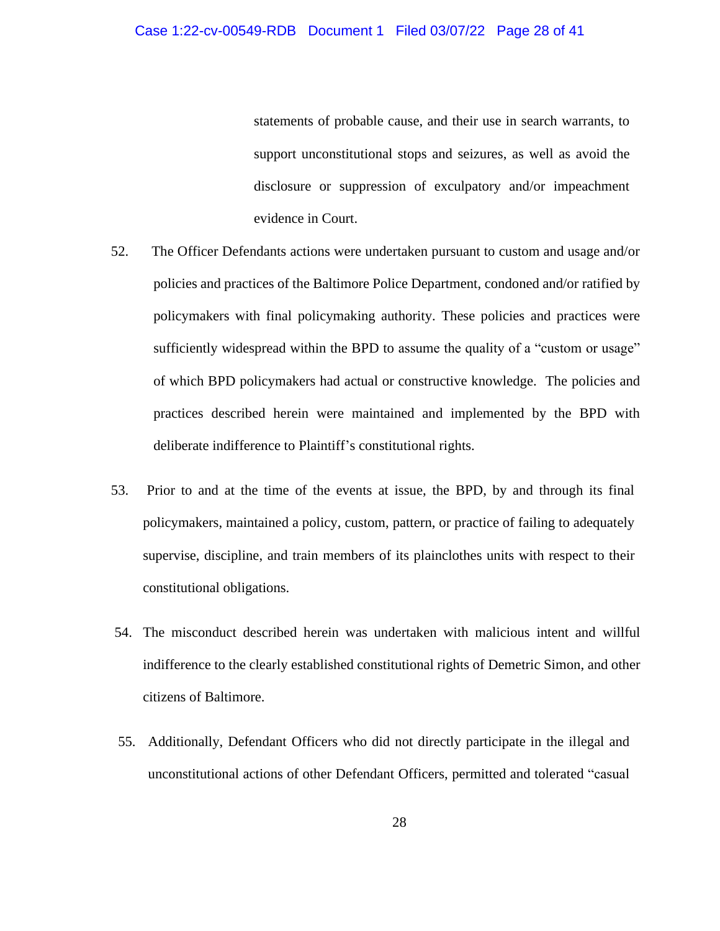statements of probable cause, and their use in search warrants, to support unconstitutional stops and seizures, as well as avoid the disclosure or suppression of exculpatory and/or impeachment evidence in Court.

- 52. The Officer Defendants actions were undertaken pursuant to custom and usage and/or policies and practices of the Baltimore Police Department, condoned and/or ratified by policymakers with final policymaking authority. These policies and practices were sufficiently widespread within the BPD to assume the quality of a "custom or usage" of which BPD policymakers had actual or constructive knowledge. The policies and practices described herein were maintained and implemented by the BPD with deliberate indifference to Plaintiff's constitutional rights.
- 53. Prior to and at the time of the events at issue, the BPD, by and through its final policymakers, maintained a policy, custom, pattern, or practice of failing to adequately supervise, discipline, and train members of its plainclothes units with respect to their constitutional obligations.
- 54. The misconduct described herein was undertaken with malicious intent and willful indifference to the clearly established constitutional rights of Demetric Simon, and other citizens of Baltimore.
- 55. Additionally, Defendant Officers who did not directly participate in the illegal and unconstitutional actions of other Defendant Officers, permitted and tolerated "casual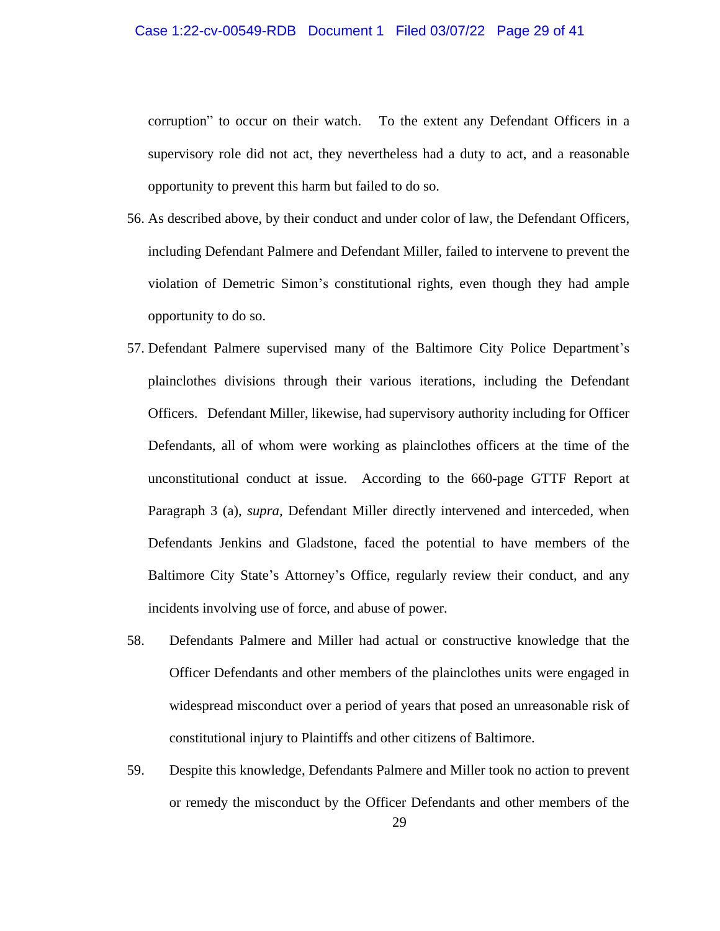corruption" to occur on their watch. To the extent any Defendant Officers in a supervisory role did not act, they nevertheless had a duty to act, and a reasonable opportunity to prevent this harm but failed to do so.

- 56. As described above, by their conduct and under color of law, the Defendant Officers, including Defendant Palmere and Defendant Miller, failed to intervene to prevent the violation of Demetric Simon's constitutional rights, even though they had ample opportunity to do so.
- 57. Defendant Palmere supervised many of the Baltimore City Police Department's plainclothes divisions through their various iterations, including the Defendant Officers. Defendant Miller, likewise, had supervisory authority including for Officer Defendants, all of whom were working as plainclothes officers at the time of the unconstitutional conduct at issue. According to the 660-page GTTF Report at Paragraph 3 (a), *supra,* Defendant Miller directly intervened and interceded, when Defendants Jenkins and Gladstone, faced the potential to have members of the Baltimore City State's Attorney's Office, regularly review their conduct, and any incidents involving use of force, and abuse of power.
- 58. Defendants Palmere and Miller had actual or constructive knowledge that the Officer Defendants and other members of the plainclothes units were engaged in widespread misconduct over a period of years that posed an unreasonable risk of constitutional injury to Plaintiffs and other citizens of Baltimore.
- 59. Despite this knowledge, Defendants Palmere and Miller took no action to prevent or remedy the misconduct by the Officer Defendants and other members of the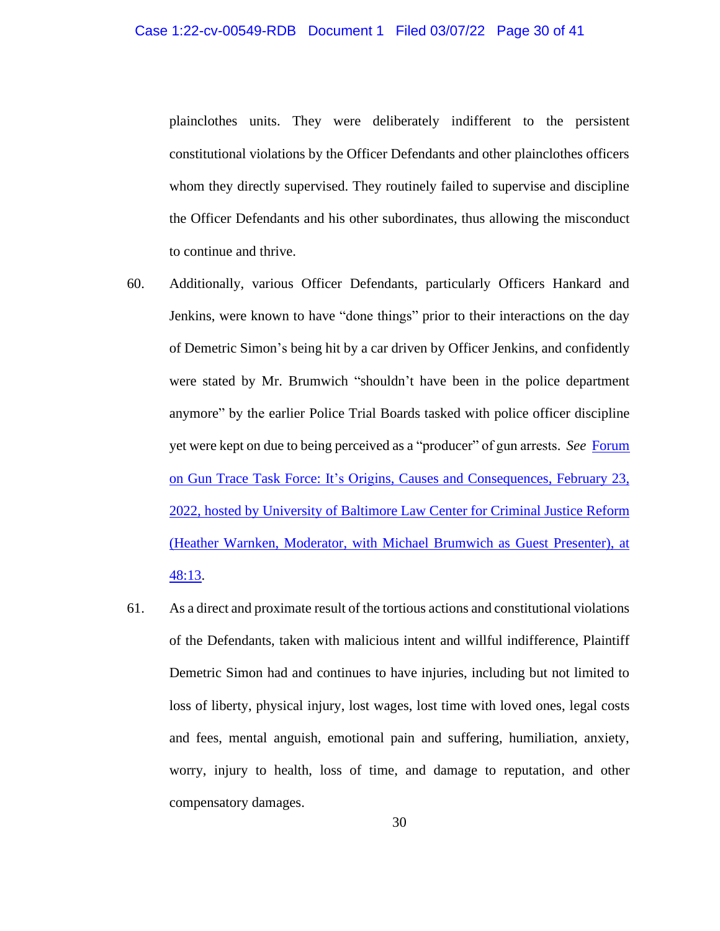### Case 1:22-cv-00549-RDB Document 1 Filed 03/07/22 Page 30 of 41

plainclothes units. They were deliberately indifferent to the persistent constitutional violations by the Officer Defendants and other plainclothes officers whom they directly supervised. They routinely failed to supervise and discipline the Officer Defendants and his other subordinates, thus allowing the misconduct to continue and thrive.

- 60. Additionally, various Officer Defendants, particularly Officers Hankard and Jenkins, were known to have "done things" prior to their interactions on the day of Demetric Simon's being hit by a car driven by Officer Jenkins, and confidently were stated by Mr. Brumwich "shouldn't have been in the police department anymore" by the earlier Police Trial Boards tasked with police officer discipline yet were kept on due to being perceived as a "producer" of gun arrests. *See* [Forum](https://www.youtube.com/watch?v=dNrWwN4UcUs&list=WL&index=96&t=349s)  on Gun Trace Task Force: [It's Origins, Causes and Consequences, February 23,](https://www.youtube.com/watch?v=dNrWwN4UcUs&list=WL&index=96&t=349s)  2022, hosted [by University of Baltimore Law Center for Criminal Justice Reform](https://www.youtube.com/watch?v=dNrWwN4UcUs&list=WL&index=96&t=349s)  [\(Heather Warnken, Moderator, with Michael Brumwich as Guest Presenter\), at](https://www.youtube.com/watch?v=dNrWwN4UcUs&list=WL&index=96&t=349s)  [48:13.](https://www.youtube.com/watch?v=dNrWwN4UcUs&list=WL&index=96&t=349s)
- 61. As a direct and proximate result of the tortious actions and constitutional violations of the Defendants, taken with malicious intent and willful indifference, Plaintiff Demetric Simon had and continues to have injuries, including but not limited to loss of liberty, physical injury, lost wages, lost time with loved ones, legal costs and fees, mental anguish, emotional pain and suffering, humiliation, anxiety, worry, injury to health, loss of time, and damage to reputation, and other compensatory damages.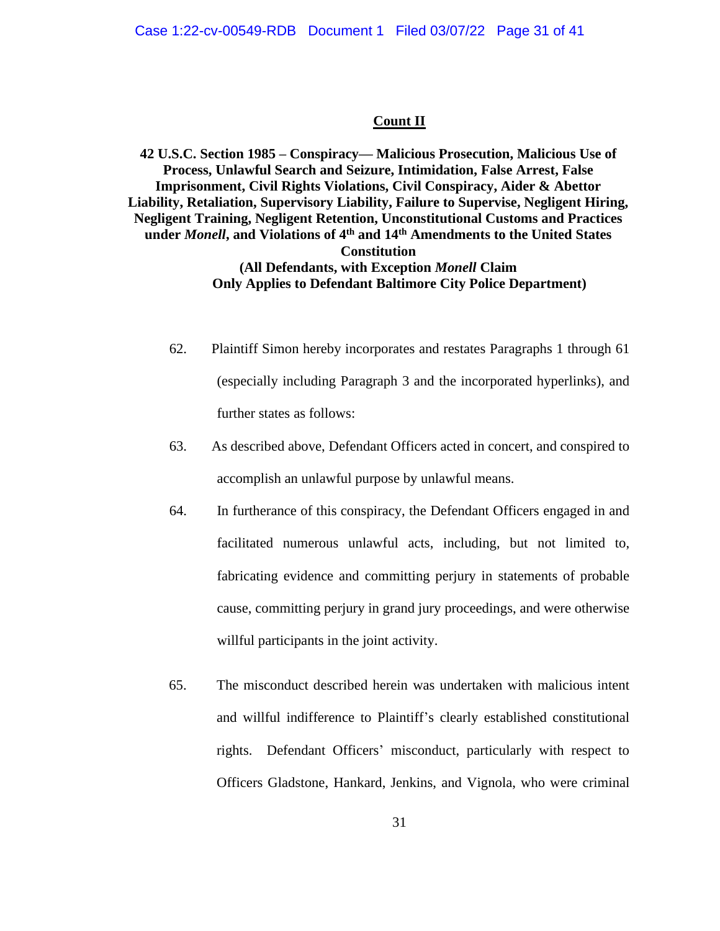#### **Count II**

**42 U.S.C. Section 1985 – Conspiracy— Malicious Prosecution, Malicious Use of Process, Unlawful Search and Seizure, Intimidation, False Arrest, False Imprisonment, Civil Rights Violations, Civil Conspiracy, Aider & Abettor Liability, Retaliation, Supervisory Liability, Failure to Supervise, Negligent Hiring, Negligent Training, Negligent Retention, Unconstitutional Customs and Practices under** *Monell***, and Violations of 4th and 14th Amendments to the United States Constitution (All Defendants, with Exception** *Monell* **Claim Only Applies to Defendant Baltimore City Police Department)**

- 62. Plaintiff Simon hereby incorporates and restates Paragraphs 1 through 61 (especially including Paragraph 3 and the incorporated hyperlinks), and further states as follows:
- 63. As described above, Defendant Officers acted in concert, and conspired to accomplish an unlawful purpose by unlawful means.
- 64. In furtherance of this conspiracy, the Defendant Officers engaged in and facilitated numerous unlawful acts, including, but not limited to, fabricating evidence and committing perjury in statements of probable cause, committing perjury in grand jury proceedings, and were otherwise willful participants in the joint activity.
- 65. The misconduct described herein was undertaken with malicious intent and willful indifference to Plaintiff's clearly established constitutional rights. Defendant Officers' misconduct, particularly with respect to Officers Gladstone, Hankard, Jenkins, and Vignola, who were criminal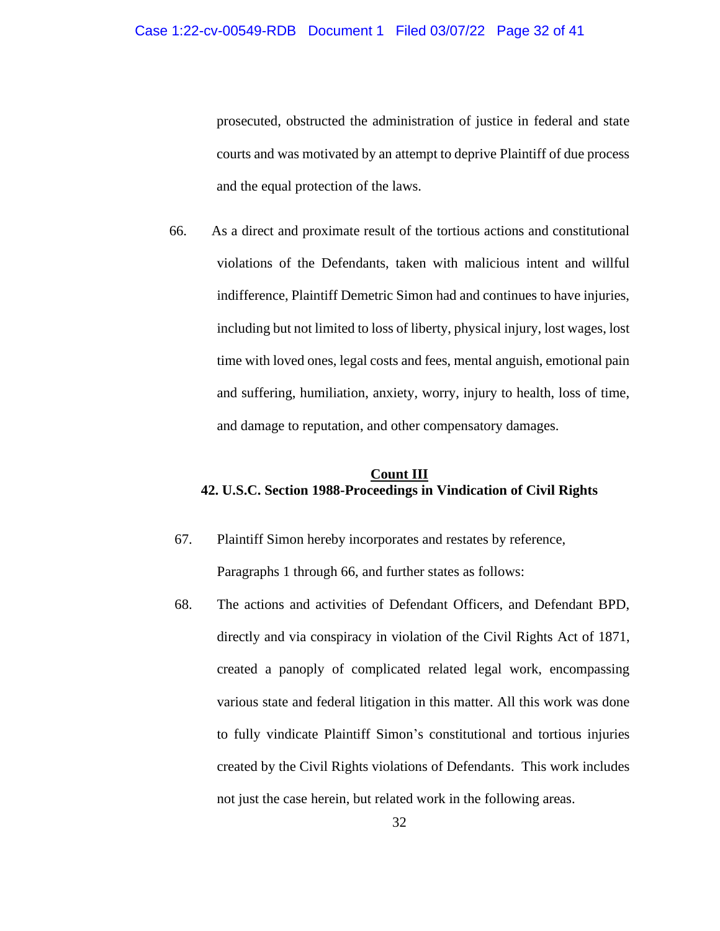prosecuted, obstructed the administration of justice in federal and state courts and was motivated by an attempt to deprive Plaintiff of due process and the equal protection of the laws.

66. As a direct and proximate result of the tortious actions and constitutional violations of the Defendants, taken with malicious intent and willful indifference, Plaintiff Demetric Simon had and continues to have injuries, including but not limited to loss of liberty, physical injury, lost wages, lost time with loved ones, legal costs and fees, mental anguish, emotional pain and suffering, humiliation, anxiety, worry, injury to health, loss of time, and damage to reputation, and other compensatory damages.

## **Count III 42. U.S.C. Section 1988-Proceedings in Vindication of Civil Rights**

- 67. Plaintiff Simon hereby incorporates and restates by reference, Paragraphs 1 through 66, and further states as follows:
- 68. The actions and activities of Defendant Officers, and Defendant BPD, directly and via conspiracy in violation of the Civil Rights Act of 1871, created a panoply of complicated related legal work, encompassing various state and federal litigation in this matter. All this work was done to fully vindicate Plaintiff Simon's constitutional and tortious injuries created by the Civil Rights violations of Defendants. This work includes not just the case herein, but related work in the following areas.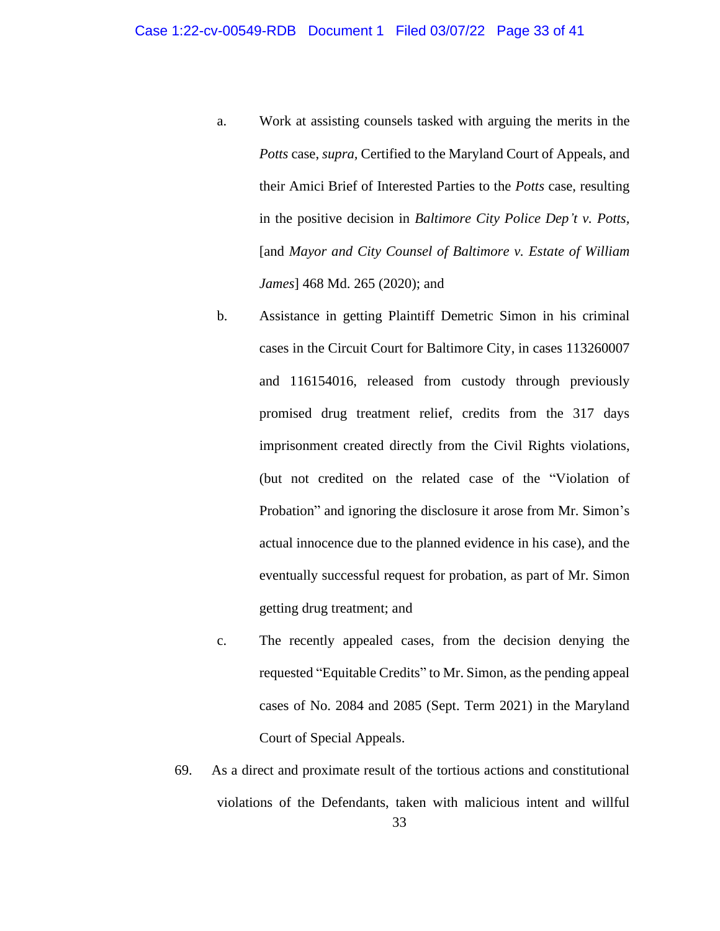- a. Work at assisting counsels tasked with arguing the merits in the *Potts* case, *supra,* Certified to the Maryland Court of Appeals, and their Amici Brief of Interested Parties to the *Potts* case, resulting in the positive decision in *Baltimore City Police Dep't v. Potts,* [and *Mayor and City Counsel of Baltimore v. Estate of William James*] 468 Md. 265 (2020); and
- b. Assistance in getting Plaintiff Demetric Simon in his criminal cases in the Circuit Court for Baltimore City, in cases 113260007 and 116154016, released from custody through previously promised drug treatment relief, credits from the 317 days imprisonment created directly from the Civil Rights violations, (but not credited on the related case of the "Violation of Probation" and ignoring the disclosure it arose from Mr. Simon's actual innocence due to the planned evidence in his case), and the eventually successful request for probation, as part of Mr. Simon getting drug treatment; and
- c. The recently appealed cases, from the decision denying the requested "Equitable Credits" to Mr. Simon, as the pending appeal cases of No. 2084 and 2085 (Sept. Term 2021) in the Maryland Court of Special Appeals.
- 33 69. As a direct and proximate result of the tortious actions and constitutional violations of the Defendants, taken with malicious intent and willful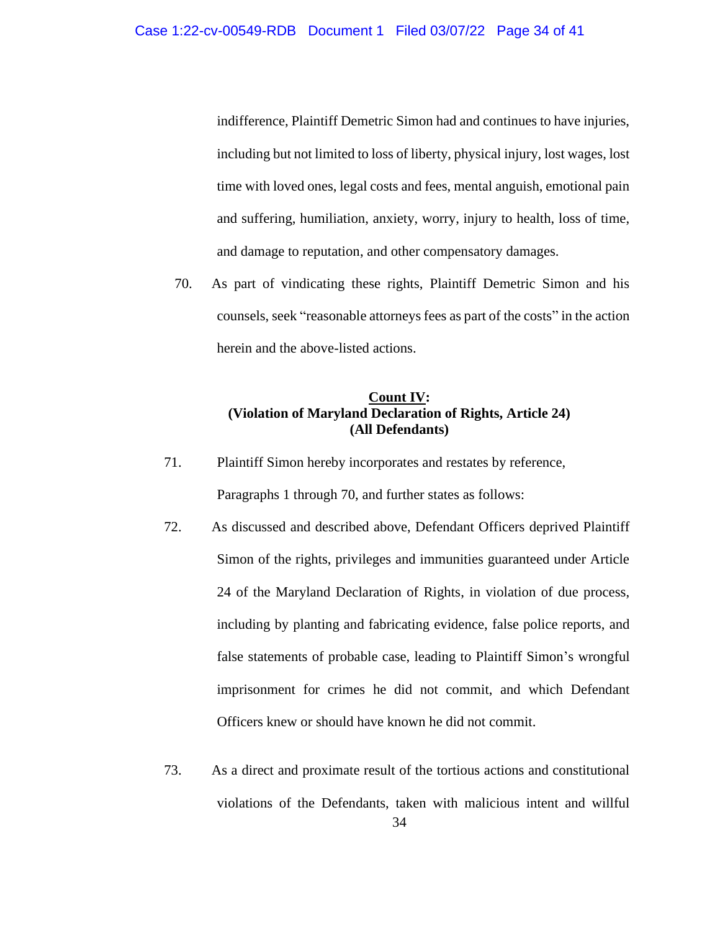indifference, Plaintiff Demetric Simon had and continues to have injuries, including but not limited to loss of liberty, physical injury, lost wages, lost time with loved ones, legal costs and fees, mental anguish, emotional pain and suffering, humiliation, anxiety, worry, injury to health, loss of time, and damage to reputation, and other compensatory damages.

70. As part of vindicating these rights, Plaintiff Demetric Simon and his counsels, seek "reasonable attorneys fees as part of the costs" in the action herein and the above-listed actions.

## **Count IV: (Violation of Maryland Declaration of Rights, Article 24) (All Defendants)**

- 71. Plaintiff Simon hereby incorporates and restates by reference, Paragraphs 1 through 70, and further states as follows:
- 72. As discussed and described above, Defendant Officers deprived Plaintiff Simon of the rights, privileges and immunities guaranteed under Article 24 of the Maryland Declaration of Rights, in violation of due process, including by planting and fabricating evidence, false police reports, and false statements of probable case, leading to Plaintiff Simon's wrongful imprisonment for crimes he did not commit, and which Defendant Officers knew or should have known he did not commit.
- 34 73. As a direct and proximate result of the tortious actions and constitutional violations of the Defendants, taken with malicious intent and willful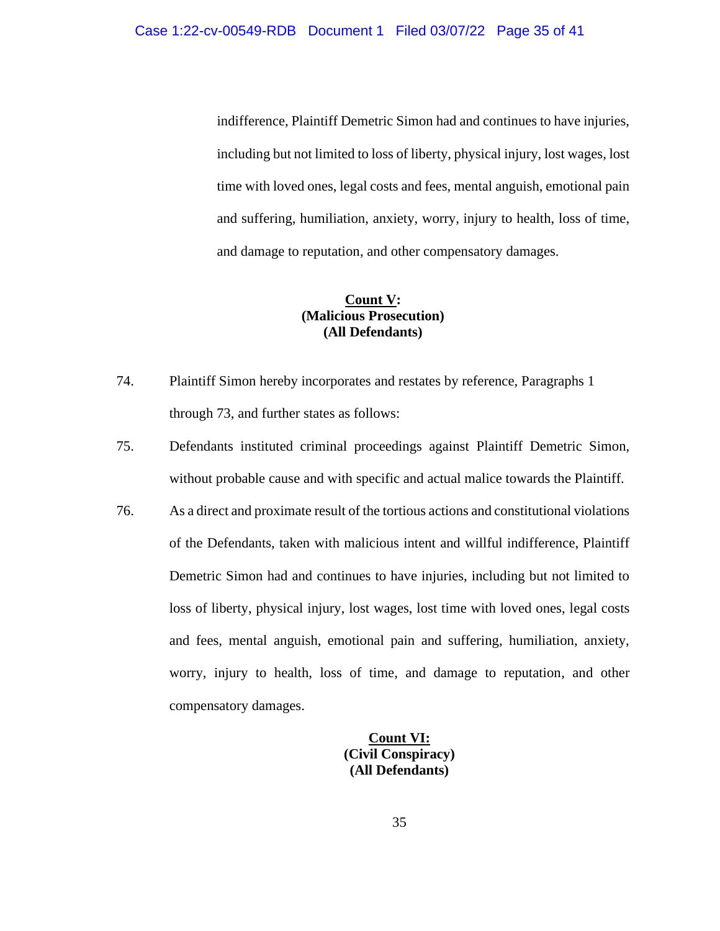indifference, Plaintiff Demetric Simon had and continues to have injuries, including but not limited to loss of liberty, physical injury, lost wages, lost time with loved ones, legal costs and fees, mental anguish, emotional pain and suffering, humiliation, anxiety, worry, injury to health, loss of time, and damage to reputation, and other compensatory damages.

## **Count V: (Malicious Prosecution) (All Defendants)**

- 74. Plaintiff Simon hereby incorporates and restates by reference, Paragraphs 1 through 73, and further states as follows:
- 75. Defendants instituted criminal proceedings against Plaintiff Demetric Simon, without probable cause and with specific and actual malice towards the Plaintiff.
- 76. As a direct and proximate result of the tortious actions and constitutional violations of the Defendants, taken with malicious intent and willful indifference, Plaintiff Demetric Simon had and continues to have injuries, including but not limited to loss of liberty, physical injury, lost wages, lost time with loved ones, legal costs and fees, mental anguish, emotional pain and suffering, humiliation, anxiety, worry, injury to health, loss of time, and damage to reputation, and other compensatory damages.

**Count VI: (Civil Conspiracy) (All Defendants)**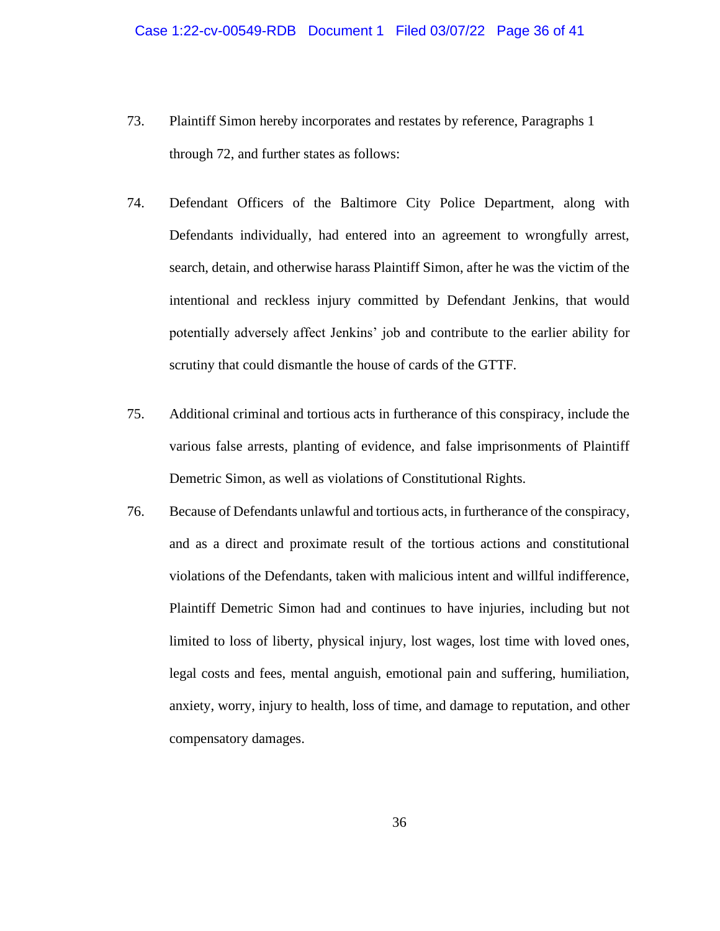- 73. Plaintiff Simon hereby incorporates and restates by reference, Paragraphs 1 through 72, and further states as follows:
- 74. Defendant Officers of the Baltimore City Police Department, along with Defendants individually, had entered into an agreement to wrongfully arrest, search, detain, and otherwise harass Plaintiff Simon, after he was the victim of the intentional and reckless injury committed by Defendant Jenkins, that would potentially adversely affect Jenkins' job and contribute to the earlier ability for scrutiny that could dismantle the house of cards of the GTTF.
- 75. Additional criminal and tortious acts in furtherance of this conspiracy, include the various false arrests, planting of evidence, and false imprisonments of Plaintiff Demetric Simon, as well as violations of Constitutional Rights.
- 76. Because of Defendants unlawful and tortious acts, in furtherance of the conspiracy, and as a direct and proximate result of the tortious actions and constitutional violations of the Defendants, taken with malicious intent and willful indifference, Plaintiff Demetric Simon had and continues to have injuries, including but not limited to loss of liberty, physical injury, lost wages, lost time with loved ones, legal costs and fees, mental anguish, emotional pain and suffering, humiliation, anxiety, worry, injury to health, loss of time, and damage to reputation, and other compensatory damages.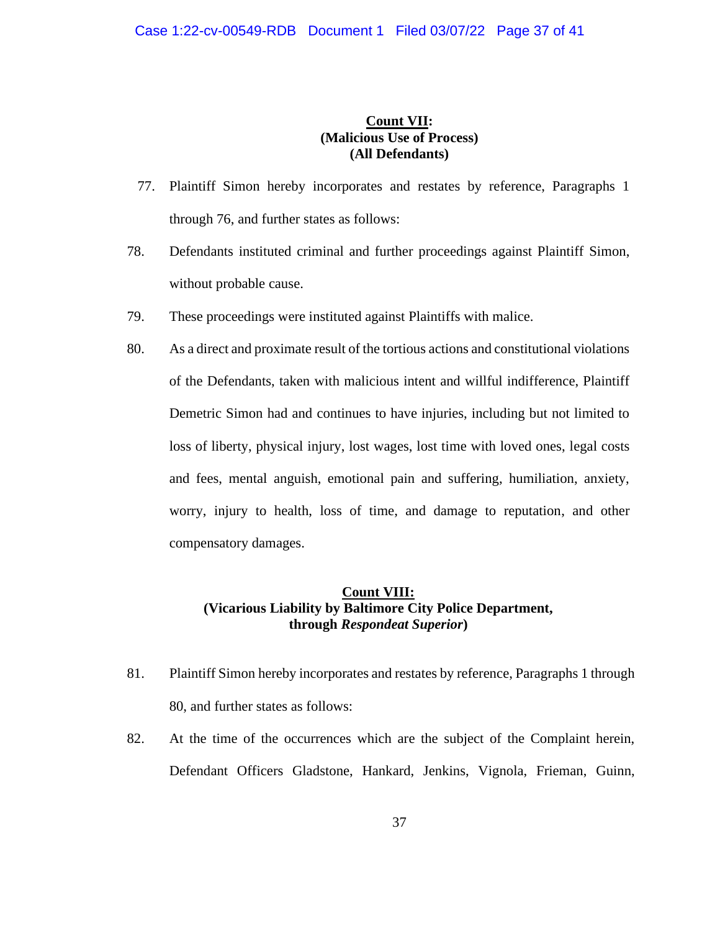## **Count VII: (Malicious Use of Process) (All Defendants)**

- 77. Plaintiff Simon hereby incorporates and restates by reference, Paragraphs 1 through 76, and further states as follows:
- 78. Defendants instituted criminal and further proceedings against Plaintiff Simon, without probable cause.
- 79. These proceedings were instituted against Plaintiffs with malice.
- 80. As a direct and proximate result of the tortious actions and constitutional violations of the Defendants, taken with malicious intent and willful indifference, Plaintiff Demetric Simon had and continues to have injuries, including but not limited to loss of liberty, physical injury, lost wages, lost time with loved ones, legal costs and fees, mental anguish, emotional pain and suffering, humiliation, anxiety, worry, injury to health, loss of time, and damage to reputation, and other compensatory damages.

## **Count VIII: (Vicarious Liability by Baltimore City Police Department, through** *Respondeat Superior***)**

- 81. Plaintiff Simon hereby incorporates and restates by reference, Paragraphs 1 through 80, and further states as follows:
- 82. At the time of the occurrences which are the subject of the Complaint herein, Defendant Officers Gladstone, Hankard, Jenkins, Vignola, Frieman, Guinn,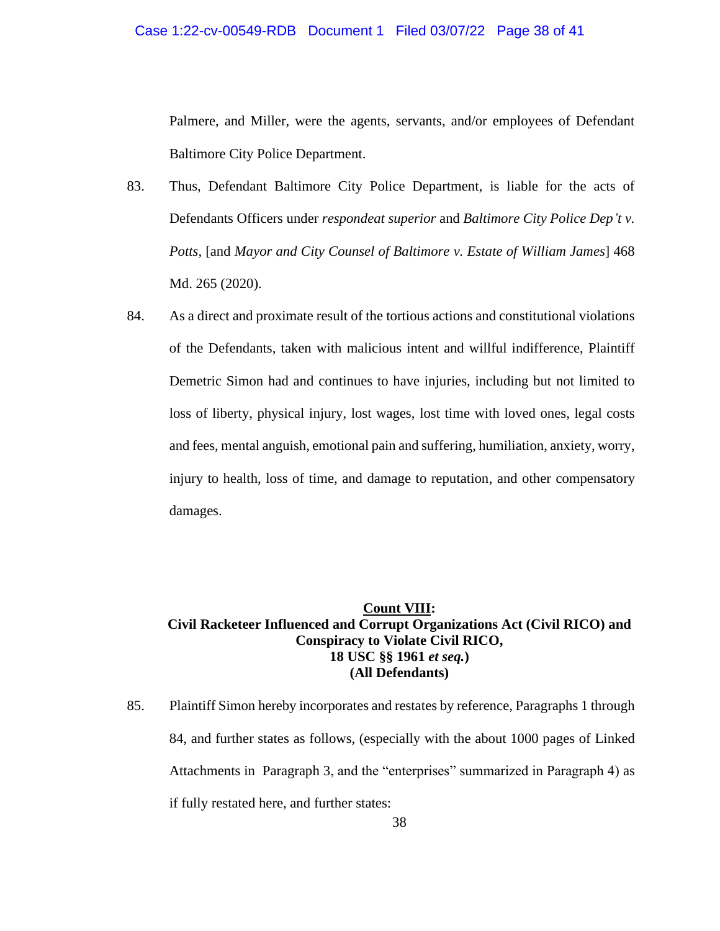Palmere, and Miller, were the agents, servants, and/or employees of Defendant Baltimore City Police Department.

- 83. Thus, Defendant Baltimore City Police Department, is liable for the acts of Defendants Officers under *respondeat superior* and *Baltimore City Police Dep't v. Potts,* [and *Mayor and City Counsel of Baltimore v. Estate of William James*] 468 Md. 265 (2020).
- 84. As a direct and proximate result of the tortious actions and constitutional violations of the Defendants, taken with malicious intent and willful indifference, Plaintiff Demetric Simon had and continues to have injuries, including but not limited to loss of liberty, physical injury, lost wages, lost time with loved ones, legal costs and fees, mental anguish, emotional pain and suffering, humiliation, anxiety, worry, injury to health, loss of time, and damage to reputation, and other compensatory damages.

## **Count VIII: Civil Racketeer Influenced and Corrupt Organizations Act (Civil RICO) and Conspiracy to Violate Civil RICO, 18 USC §§ 1961** *et seq.***) (All Defendants)**

85. Plaintiff Simon hereby incorporates and restates by reference, Paragraphs 1 through 84, and further states as follows, (especially with the about 1000 pages of Linked Attachments in Paragraph 3, and the "enterprises" summarized in Paragraph 4) as if fully restated here, and further states: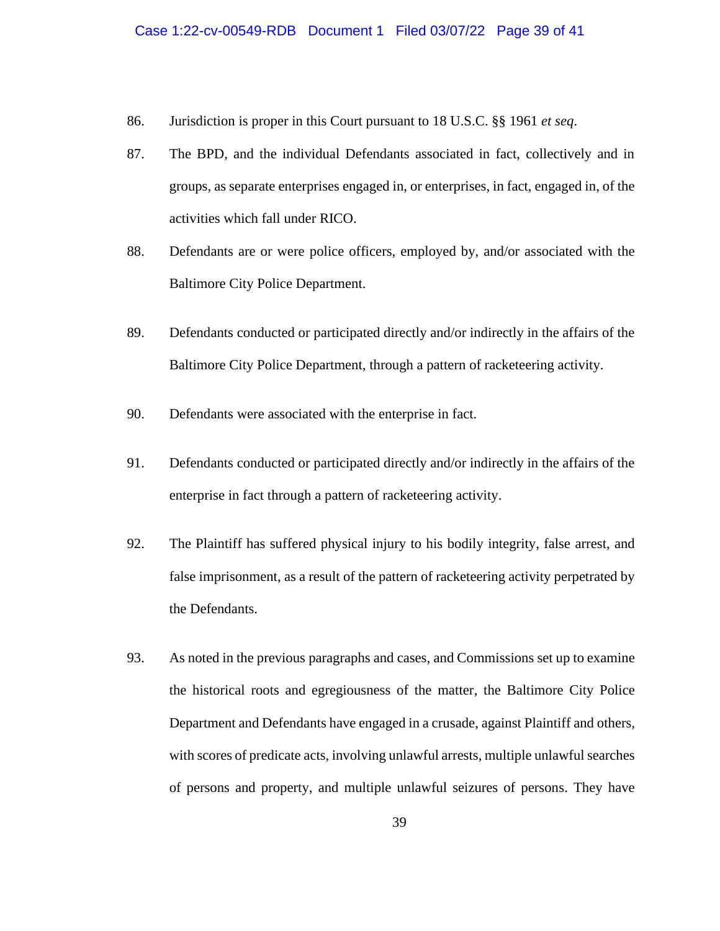- 86. Jurisdiction is proper in this Court pursuant to 18 U.S.C. §§ 1961 *et seq*.
- 87. The BPD, and the individual Defendants associated in fact, collectively and in groups, as separate enterprises engaged in, or enterprises, in fact, engaged in, of the activities which fall under RICO.
- 88. Defendants are or were police officers, employed by, and/or associated with the Baltimore City Police Department.
- 89. Defendants conducted or participated directly and/or indirectly in the affairs of the Baltimore City Police Department, through a pattern of racketeering activity.
- 90. Defendants were associated with the enterprise in fact.
- 91. Defendants conducted or participated directly and/or indirectly in the affairs of the enterprise in fact through a pattern of racketeering activity.
- 92. The Plaintiff has suffered physical injury to his bodily integrity, false arrest, and false imprisonment, as a result of the pattern of racketeering activity perpetrated by the Defendants.
- 93. As noted in the previous paragraphs and cases, and Commissions set up to examine the historical roots and egregiousness of the matter, the Baltimore City Police Department and Defendants have engaged in a crusade, against Plaintiff and others, with scores of predicate acts, involving unlawful arrests, multiple unlawful searches of persons and property, and multiple unlawful seizures of persons. They have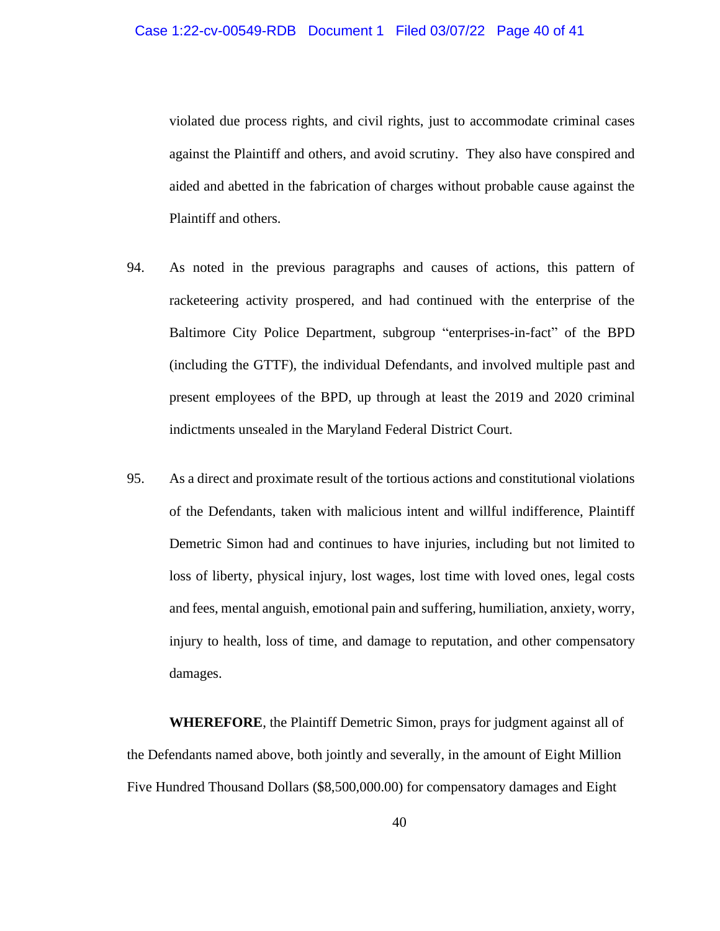violated due process rights, and civil rights, just to accommodate criminal cases against the Plaintiff and others, and avoid scrutiny. They also have conspired and aided and abetted in the fabrication of charges without probable cause against the Plaintiff and others.

- 94. As noted in the previous paragraphs and causes of actions, this pattern of racketeering activity prospered, and had continued with the enterprise of the Baltimore City Police Department, subgroup "enterprises-in-fact" of the BPD (including the GTTF), the individual Defendants, and involved multiple past and present employees of the BPD, up through at least the 2019 and 2020 criminal indictments unsealed in the Maryland Federal District Court.
- 95. As a direct and proximate result of the tortious actions and constitutional violations of the Defendants, taken with malicious intent and willful indifference, Plaintiff Demetric Simon had and continues to have injuries, including but not limited to loss of liberty, physical injury, lost wages, lost time with loved ones, legal costs and fees, mental anguish, emotional pain and suffering, humiliation, anxiety, worry, injury to health, loss of time, and damage to reputation, and other compensatory damages.

**WHEREFORE**, the Plaintiff Demetric Simon, prays for judgment against all of the Defendants named above, both jointly and severally, in the amount of Eight Million Five Hundred Thousand Dollars (\$8,500,000.00) for compensatory damages and Eight